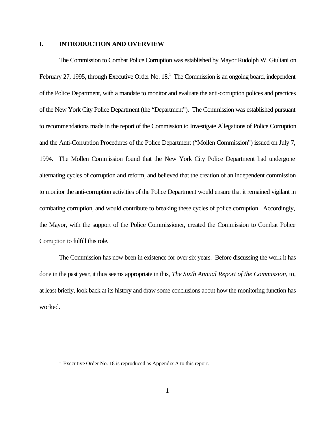## **I. INTRODUCTION AND OVERVIEW**

The Commission to Combat Police Corruption was established by Mayor Rudolph W. Giuliani on February 27, 1995, through Executive Order No. 18.<sup>1</sup> The Commission is an ongoing board, independent of the Police Department, with a mandate to monitor and evaluate the anti-corruption polices and practices of the New York City Police Department (the "Department"). The Commission was established pursuant to recommendations made in the report of the Commission to Investigate Allegations of Police Corruption and the Anti-Corruption Procedures of the Police Department ("Mollen Commission") issued on July 7, 1994. The Mollen Commission found that the New York City Police Department had undergone alternating cycles of corruption and reform, and believed that the creation of an independent commission to monitor the anti-corruption activities of the Police Department would ensure that it remained vigilant in combating corruption, and would contribute to breaking these cycles of police corruption. Accordingly, the Mayor, with the support of the Police Commissioner, created the Commission to Combat Police Corruption to fulfill this role.

The Commission has now been in existence for over six years. Before discussing the work it has done in the past year, it thus seems appropriate in this, *The Sixth Annual Report of the Commission*, to, at least briefly, look back at its history and draw some conclusions about how the monitoring function has worked.

 $1$  Executive Order No. 18 is reproduced as Appendix A to this report.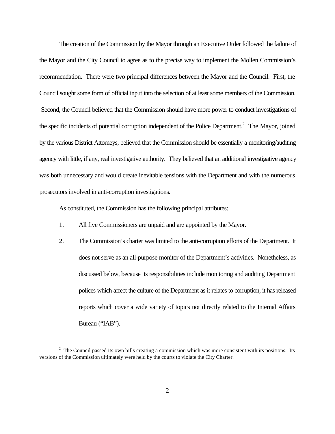The creation of the Commission by the Mayor through an Executive Order followed the failure of the Mayor and the City Council to agree as to the precise way to implement the Mollen Commission's recommendation. There were two principal differences between the Mayor and the Council. First, the Council sought some form of official input into the selection of at least some members of the Commission. Second, the Council believed that the Commission should have more power to conduct investigations of the specific incidents of potential corruption independent of the Police Department.<sup>2</sup> The Mayor, joined by the various District Attorneys, believed that the Commission should be essentially a monitoring/auditing agency with little, if any, real investigative authority. They believed that an additional investigative agency was both unnecessary and would create inevitable tensions with the Department and with the numerous prosecutors involved in anti-corruption investigations.

As constituted, the Commission has the following principal attributes:

- 1. All five Commissioners are unpaid and are appointed by the Mayor.
- 2. The Commission's charter was limited to the anti-corruption efforts of the Department. It does not serve as an all-purpose monitor of the Department's activities. Nonetheless, as discussed below, because its responsibilities include monitoring and auditing Department polices which affect the culture of the Department as it relates to corruption, it has released reports which cover a wide variety of topics not directly related to the Internal Affairs Bureau ("IAB").

 $2<sup>2</sup>$  The Council passed its own bills creating a commission which was more consistent with its positions. Its versions of the Commission ultimately were held by the courts to violate the City Charter.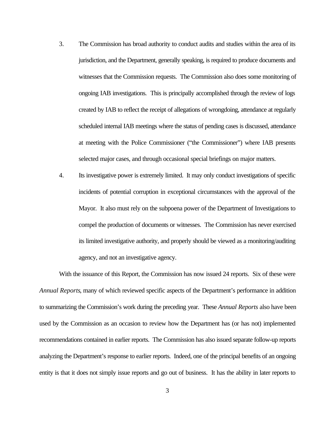- 3. The Commission has broad authority to conduct audits and studies within the area of its jurisdiction, and the Department, generally speaking, is required to produce documents and witnesses that the Commission requests. The Commission also does some monitoring of ongoing IAB investigations. This is principally accomplished through the review of logs created by IAB to reflect the receipt of allegations of wrongdoing, attendance at regularly scheduled internal IAB meetings where the status of pending cases is discussed, attendance at meeting with the Police Commissioner ("the Commissioner") where IAB presents selected major cases, and through occasional special briefings on major matters.
- 4. Its investigative power is extremely limited. It may only conduct investigations of specific incidents of potential corruption in exceptional circumstances with the approval of the Mayor. It also must rely on the subpoena power of the Department of Investigations to compel the production of documents or witnesses. The Commission has never exercised its limited investigative authority, and properly should be viewed as a monitoring/auditing agency, and not an investigative agency.

With the issuance of this Report, the Commission has now issued 24 reports. Six of these were *Annual Reports*, many of which reviewed specific aspects of the Department's performance in addition to summarizing the Commission's work during the preceding year. These *Annual Reports* also have been used by the Commission as an occasion to review how the Department has (or has not) implemented recommendations contained in earlier reports. The Commission has also issued separate follow-up reports analyzing the Department's response to earlier reports. Indeed, one of the principal benefits of an ongoing entity is that it does not simply issue reports and go out of business. It has the ability in later reports to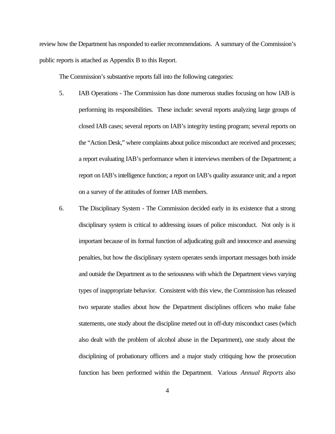review how the Department has responded to earlier recommendations. A summary of the Commission's public reports is attached as Appendix B to this Report.

The Commission's substantive reports fall into the following categories:

- 5. IAB Operations The Commission has done numerous studies focusing on how IAB is performing its responsibilities. These include: several reports analyzing large groups of closed IAB cases; several reports on IAB's integrity testing program; several reports on the "Action Desk," where complaints about police misconduct are received and processes; a report evaluating IAB's performance when it interviews members of the Department; a report on IAB's intelligence function; a report on IAB's quality assurance unit; and a report on a survey of the attitudes of former IAB members.
- 6. The Disciplinary System The Commission decided early in its existence that a strong disciplinary system is critical to addressing issues of police misconduct. Not only is it important because of its formal function of adjudicating guilt and innocence and assessing penalties, but how the disciplinary system operates sends important messages both inside and outside the Department as to the seriousness with which the Department views varying types of inappropriate behavior. Consistent with this view, the Commission has released two separate studies about how the Department disciplines officers who make false statements, one study about the discipline meted out in off-duty misconduct cases (which also dealt with the problem of alcohol abuse in the Department), one study about the disciplining of probationary officers and a major study critiquing how the prosecution function has been performed within the Department. Various *Annual Reports* also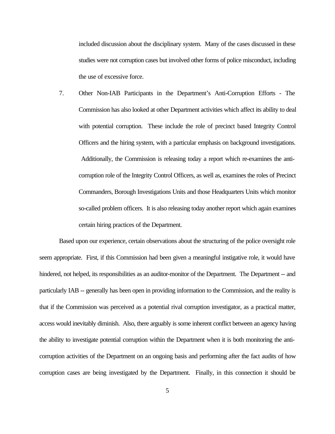included discussion about the disciplinary system. Many of the cases discussed in these studies were not corruption cases but involved other forms of police misconduct, including the use of excessive force.

7. Other Non-IAB Participants in the Department's Anti-Corruption Efforts - The Commission has also looked at other Department activities which affect its ability to deal with potential corruption. These include the role of precinct based Integrity Control Officers and the hiring system, with a particular emphasis on background investigations. Additionally, the Commission is releasing today a report which re-examines the anticorruption role of the Integrity Control Officers, as well as, examines the roles of Precinct Commanders, Borough Investigations Units and those Headquarters Units which monitor so-called problem officers. It is also releasing today another report which again examines certain hiring practices of the Department.

Based upon our experience, certain observations about the structuring of the police oversight role seem appropriate. First, if this Commission had been given a meaningful instigative role, it would have hindered, not helped, its responsibilities as an auditor-monitor of the Department. The Department -- and particularly IAB -- generally has been open in providing information to the Commission, and the reality is that if the Commission was perceived as a potential rival corruption investigator, as a practical matter, access would inevitably diminish. Also, there arguably is some inherent conflict between an agency having the ability to investigate potential corruption within the Department when it is both monitoring the anticorruption activities of the Department on an ongoing basis and performing after the fact audits of how corruption cases are being investigated by the Department. Finally, in this connection it should be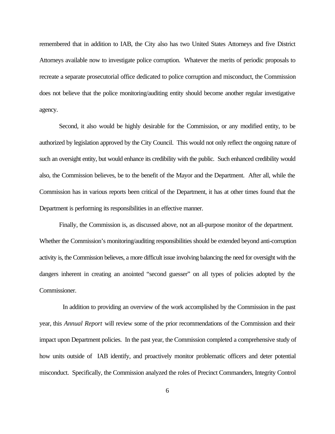remembered that in addition to IAB, the City also has two United States Attorneys and five District Attorneys available now to investigate police corruption. Whatever the merits of periodic proposals to recreate a separate prosecutorial office dedicated to police corruption and misconduct, the Commission does not believe that the police monitoring/auditing entity should become another regular investigative agency.

Second, it also would be highly desirable for the Commission, or any modified entity, to be authorized by legislation approved by the City Council. This would not only reflect the ongoing nature of such an oversight entity, but would enhance its credibility with the public. Such enhanced credibility would also, the Commission believes, be to the benefit of the Mayor and the Department. After all, while the Commission has in various reports been critical of the Department, it has at other times found that the Department is performing its responsibilities in an effective manner.

Finally, the Commission is, as discussed above, not an all-purpose monitor of the department. Whether the Commission's monitoring/auditing responsibilities should be extended beyond anti-corruption activity is, the Commission believes, a more difficult issue involving balancing the need for oversight with the dangers inherent in creating an anointed "second guesser" on all types of policies adopted by the Commissioner.

 In addition to providing an overview of the work accomplished by the Commission in the past year, this *Annual Report* will review some of the prior recommendations of the Commission and their impact upon Department policies. In the past year, the Commission completed a comprehensive study of how units outside of IAB identify, and proactively monitor problematic officers and deter potential misconduct. Specifically, the Commission analyzed the roles of Precinct Commanders, Integrity Control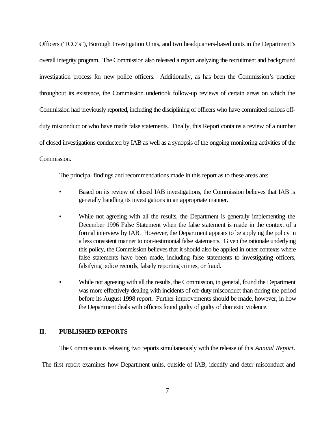Officers ("ICO's"), Borough Investigation Units, and two headquarters-based units in the Department's overall integrity program. The Commission also released a report analyzing the recruitment and background investigation process for new police officers. Additionally, as has been the Commission's practice throughout its existence, the Commission undertook follow-up reviews of certain areas on which the Commission had previously reported, including the disciplining of officers who have committed serious offduty misconduct or who have made false statements. Finally, this Report contains a review of a number of closed investigations conducted by IAB as well as a synopsis of the ongoing monitoring activities of the Commission.

The principal findings and recommendations made in this report as to these areas are:

- Based on its review of closed IAB investigations, the Commission believes that IAB is generally handling its investigations in an appropriate manner.
- While not agreeing with all the results, the Department is generally implementing the December 1996 False Statement when the false statement is made in the context of a formal interview by IAB. However, the Department appears to be applying the policy in a less consistent manner to non-testimonial false statements. Given the rationale underlying this policy, the Commission believes that it should also be applied in other contexts where false statements have been made, including false statements to investigating officers, falsifying police records, falsely reporting crimes, or fraud.
- While not agreeing with all the results, the Commission, in general, found the Department was more effectively dealing with incidents of off-duty misconduct than during the period before its August 1998 report. Further improvements should be made, however, in how the Department deals with officers found guilty of guilty of domestic violence.

## **II. PUBLISHED REPORTS**

The Commission is releasing two reports simultaneously with the release of this *Annual Report*.

The first report examines how Department units, outside of IAB, identify and deter misconduct and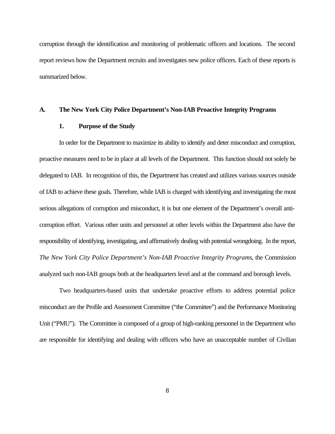corruption through the identification and monitoring of problematic officers and locations. The second report reviews how the Department recruits and investigates new police officers. Each of these reports is summarized below.

### **A. The New York City Police Department's Non-IAB Proactive Integrity Programs**

## **1. Purpose of the Study**

In order for the Department to maximize its ability to identify and deter misconduct and corruption, proactive measures need to be in place at all levels of the Department. This function should not solely be delegated to IAB. In recognition of this, the Department has created and utilizes various sources outside of IAB to achieve these goals. Therefore, while IAB is charged with identifying and investigating the most serious allegations of corruption and misconduct, it is but one element of the Department's overall anticorruption effort. Various other units and personnel at other levels within the Department also have the responsibility of identifying, investigating, and affirmatively dealing with potential wrongdoing. In the report, *The New York City Police Department's Non-IAB Proactive Integrity Programs*, the Commission analyzed such non-IAB groups both at the headquarters level and at the command and borough levels.

Two headquarters-based units that undertake proactive efforts to address potential police misconduct are the Profile and Assessment Committee ("the Committee") and the Performance Monitoring Unit ("PMU"). The Committee is composed of a group of high-ranking personnel in the Department who are responsible for identifying and dealing with officers who have an unacceptable number of Civilian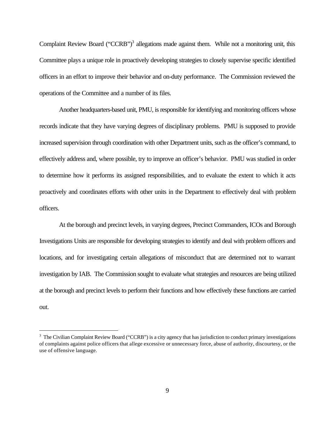Complaint Review Board ("CCRB")<sup>3</sup> allegations made against them. While not a monitoring unit, this Committee plays a unique role in proactively developing strategies to closely supervise specific identified officers in an effort to improve their behavior and on-duty performance. The Commission reviewed the operations of the Committee and a number of its files.

Another headquarters-based unit, PMU, is responsible for identifying and monitoring officers whose records indicate that they have varying degrees of disciplinary problems. PMU is supposed to provide increased supervision through coordination with other Department units, such as the officer's command, to effectively address and, where possible, try to improve an officer's behavior. PMU was studied in order to determine how it performs its assigned responsibilities, and to evaluate the extent to which it acts proactively and coordinates efforts with other units in the Department to effectively deal with problem officers.

At the borough and precinct levels, in varying degrees, Precinct Commanders, ICOs and Borough Investigations Units are responsible for developing strategies to identify and deal with problem officers and locations, and for investigating certain allegations of misconduct that are determined not to warrant investigation by IAB. The Commission sought to evaluate what strategies and resources are being utilized at the borough and precinct levels to perform their functions and how effectively these functions are carried out.

<sup>&</sup>lt;sup>3</sup> The Civilian Complaint Review Board ("CCRB") is a city agency that has jurisdiction to conduct primary investigations of complaints against police officers that allege excessive or unnecessary force, abuse of authority, discourtesy, or the use of offensive language.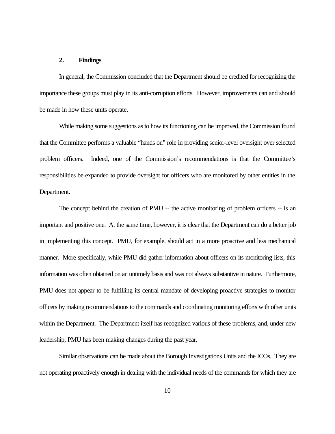## **2. Findings**

In general, the Commission concluded that the Department should be credited for recognizing the importance these groups must play in its anti-corruption efforts. However, improvements can and should be made in how these units operate.

While making some suggestions as to how its functioning can be improved, the Commission found that the Committee performs a valuable "hands on" role in providing senior-level oversight over selected problem officers. Indeed, one of the Commission's recommendations is that the Committee's responsibilities be expanded to provide oversight for officers who are monitored by other entities in the Department.

The concept behind the creation of PMU -- the active monitoring of problem officers -- is an important and positive one. At the same time, however, it is clear that the Department can do a better job in implementing this concept. PMU, for example, should act in a more proactive and less mechanical manner. More specifically, while PMU did gather information about officers on its monitoring lists, this information was often obtained on an untimely basis and was not always substantive in nature. Furthermore, PMU does not appear to be fulfilling its central mandate of developing proactive strategies to monitor officers by making recommendations to the commands and coordinating monitoring efforts with other units within the Department. The Department itself has recognized various of these problems, and, under new leadership, PMU has been making changes during the past year.

Similar observations can be made about the Borough Investigations Units and the ICOs. They are not operating proactively enough in dealing with the individual needs of the commands for which they are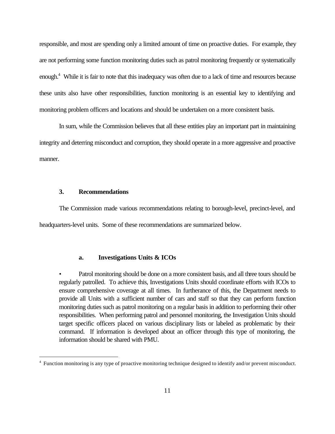responsible, and most are spending only a limited amount of time on proactive duties. For example, they are not performing some function monitoring duties such as patrol monitoring frequently or systematically enough.<sup>4</sup> While it is fair to note that this inadequacy was often due to a lack of time and resources because these units also have other responsibilities, function monitoring is an essential key to identifying and monitoring problem officers and locations and should be undertaken on a more consistent basis.

In sum, while the Commission believes that all these entities play an important part in maintaining integrity and deterring misconduct and corruption, they should operate in a more aggressive and proactive manner.

### **3. Recommendations**

 $\overline{a}$ 

The Commission made various recommendations relating to borough-level, precinct-level, and headquarters-level units. Some of these recommendations are summarized below.

#### **a. Investigations Units & ICOs**

• Patrol monitoring should be done on a more consistent basis, and all three tours should be regularly patrolled. To achieve this, Investigations Units should coordinate efforts with ICOs to ensure comprehensive coverage at all times. In furtherance of this, the Department needs to provide all Units with a sufficient number of cars and staff so that they can perform function monitoring duties such as patrol monitoring on a regular basis in addition to performing their other responsibilities. When performing patrol and personnel monitoring, the Investigation Units should target specific officers placed on various disciplinary lists or labeled as problematic by their command. If information is developed about an officer through this type of monitoring, the information should be shared with PMU.

<sup>&</sup>lt;sup>4</sup> Function monitoring is any type of proactive monitoring technique designed to identify and/or prevent misconduct.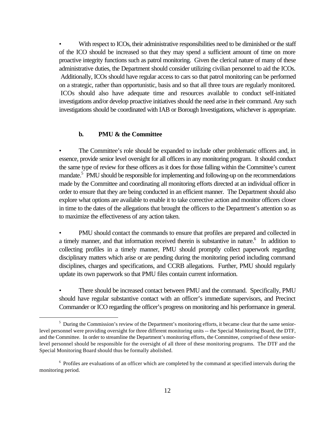With respect to ICOs, their administrative responsibilities need to be diminished or the staff of the ICO should be increased so that they may spend a sufficient amount of time on more proactive integrity functions such as patrol monitoring. Given the clerical nature of many of these administrative duties, the Department should consider utilizing civilian personnel to aid the ICOs. Additionally, ICOs should have regular access to cars so that patrol monitoring can be performed on a strategic, rather than opportunistic, basis and so that all three tours are regularly monitored. ICOs should also have adequate time and resources available to conduct self-initiated investigations and/or develop proactive initiatives should the need arise in their command. Any such investigations should be coordinated with IAB or Borough Investigations, whichever is appropriate.

#### **b. PMU & the Committee**

 $\overline{a}$ 

The Committee's role should be expanded to include other problematic officers and, in essence, provide senior level oversight for all officers in any monitoring program. It should conduct the same type of review for these officers as it does for those falling within the Committee's current mandate.<sup>5</sup> PMU should be responsible for implementing and following-up on the recommendations made by the Committee and coordinating all monitoring efforts directed at an individual officer in order to ensure that they are being conducted in an efficient manner. The Department should also explore what options are available to enable it to take corrective action and monitor officers closer in time to the dates of the allegations that brought the officers to the Department's attention so as to maximize the effectiveness of any action taken.

• PMU should contact the commands to ensure that profiles are prepared and collected in a timely manner, and that information received therein is substantive in nature.<sup>6</sup> In addition to collecting profiles in a timely manner, PMU should promptly collect paperwork regarding disciplinary matters which arise or are pending during the monitoring period including command disciplines, charges and specifications, and CCRB allegations. Further, PMU should regularly update its own paperwork so that PMU files contain current information.

• There should be increased contact between PMU and the command. Specifically, PMU should have regular substantive contact with an officer's immediate supervisors, and Precinct Commander or ICO regarding the officer's progress on monitoring and his performance in general.

<sup>&</sup>lt;sup>5</sup> During the Commission's review of the Department's monitoring efforts, it became clear that the same seniorlevel personnel were providing oversight for three different monitoring units -- the Special Monitoring Board, the DTF, and the Committee. In order to streamline the Department's monitoring efforts, the Committee, comprised of these seniorlevel personnel should be responsible for the oversight of all three of these monitoring programs. The DTF and the Special Monitoring Board should thus be formally abolished.

<sup>&</sup>lt;sup>6</sup> Profiles are evaluations of an officer which are completed by the command at specified intervals during the monitoring period.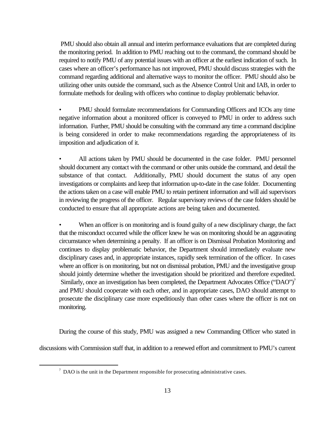PMU should also obtain all annual and interim performance evaluations that are completed during the monitoring period. In addition to PMU reaching out to the command, the command should be required to notify PMU of any potential issues with an officer at the earliest indication of such. In cases where an officer's performance has not improved, PMU should discuss strategies with the command regarding additional and alternative ways to monitor the officer. PMU should also be utilizing other units outside the command, such as the Absence Control Unit and IAB, in order to formulate methods for dealing with officers who continue to display problematic behavior.

• PMU should formulate recommendations for Commanding Officers and ICOs any time negative information about a monitored officer is conveyed to PMU in order to address such information. Further, PMU should be consulting with the command any time a command discipline is being considered in order to make recommendations regarding the appropriateness of its imposition and adjudication of it.

• All actions taken by PMU should be documented in the case folder. PMU personnel should document any contact with the command or other units outside the command, and detail the substance of that contact. Additionally, PMU should document the status of any open investigations or complaints and keep that information up-to-date in the case folder. Documenting the actions taken on a case will enable PMU to retain pertinent information and will aid supervisors in reviewing the progress of the officer. Regular supervisory reviews of the case folders should be conducted to ensure that all appropriate actions are being taken and documented.

When an officer is on monitoring and is found guilty of a new disciplinary charge, the fact that the misconduct occurred while the officer knew he was on monitoring should be an aggravating circumstance when determining a penalty. If an officer is on Dismissal Probation Monitoring and continues to display problematic behavior, the Department should immediately evaluate new disciplinary cases and, in appropriate instances, rapidly seek termination of the officer. In cases where an officer is on monitoring, but not on dismissal probation, PMU and the investigative group should jointly determine whether the investigation should be prioritized and therefore expedited. Similarly, once an investigation has been completed, the Department Advocates Office ("DAO")<sup>7</sup> and PMU should cooperate with each other, and in appropriate cases, DAO should attempt to prosecute the disciplinary case more expeditiously than other cases where the officer is not on monitoring.

During the course of this study, PMU was assigned a new Commanding Officer who stated in discussions with Commission staff that, in addition to a renewed effort and commitment to PMU's current

 $7$  DAO is the unit in the Department responsible for prosecuting administrative cases.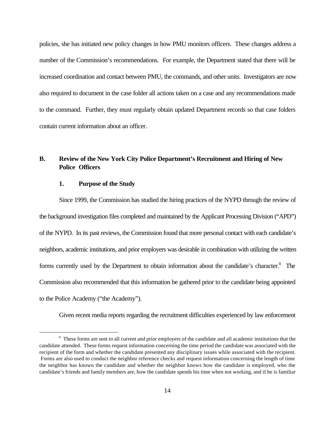policies, she has initiated new policy changes in how PMU monitors officers. These changes address a number of the Commission's recommendations. For example, the Department stated that there will be increased coordination and contact between PMU, the commands, and other units. Investigators are now also required to document in the case folder all actions taken on a case and any recommendations made to the command. Further, they must regularly obtain updated Department records so that case folders contain current information about an officer.

# **B. Review of the New York City Police Department's Recruitment and Hiring of New Police Officers**

## **1. Purpose of the Study**

 $\overline{a}$ 

Since 1999, the Commission has studied the hiring practices of the NYPD through the review of the background investigation files completed and maintained by the Applicant Processing Division ("APD") of the NYPD. In its past reviews, the Commission found that more personal contact with each candidate's neighbors, academic institutions, and prior employers was desirable in combination with utilizing the written forms currently used by the Department to obtain information about the candidate's character.<sup>8</sup> The Commission also recommended that this information be gathered prior to the candidate being appointed to the Police Academy ("the Academy").

Given recent media reports regarding the recruitment difficulties experienced by law enforcement

<sup>&</sup>lt;sup>8</sup> These forms are sent to all current and prior employers of the candidate and all academic institutions that the candidate attended. These forms request information concerning the time period the candidate was associated with the recipient of the form and whether the candidate presented any disciplinary issues while associated with the recipient. Forms are also used to conduct the neighbor reference checks and request information concerning the length of time the neighbor has known the candidate and whether the neighbor knows how the candidate is employed, who the candidate's friends and family members are, how the candidate spends his time when not working, and if he is familiar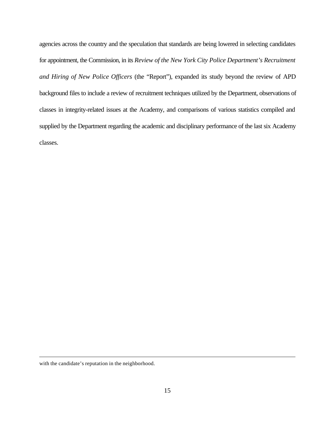agencies across the country and the speculation that standards are being lowered in selecting candidates for appointment, the Commission, in its *Review of the New York City Police Department's Recruitment and Hiring of New Police Officers* (the "Report"), expanded its study beyond the review of APD background files to include a review of recruitment techniques utilized by the Department, observations of classes in integrity-related issues at the Academy, and comparisons of various statistics compiled and supplied by the Department regarding the academic and disciplinary performance of the last six Academy classes.

with the candidate's reputation in the neighborhood.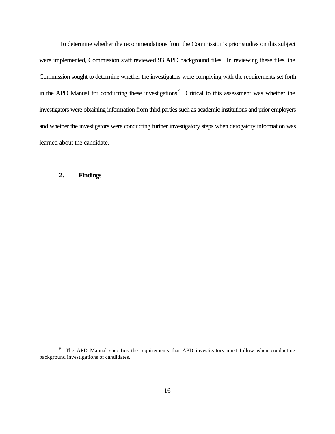To determine whether the recommendations from the Commission's prior studies on this subject were implemented, Commission staff reviewed 93 APD background files. In reviewing these files, the Commission sought to determine whether the investigators were complying with the requirements set forth in the APD Manual for conducting these investigations.<sup>9</sup> Critical to this assessment was whether the investigators were obtaining information from third parties such as academic institutions and prior employers and whether the investigators were conducting further investigatory steps when derogatory information was learned about the candidate.

# **2. Findings**

<sup>&</sup>lt;sup>9</sup> The APD Manual specifies the requirements that APD investigators must follow when conducting background investigations of candidates.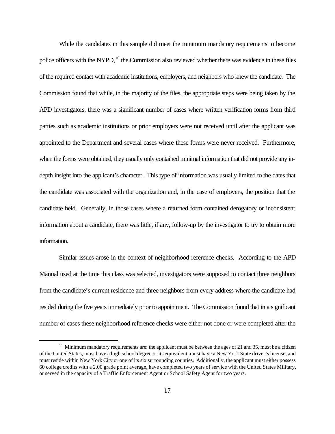While the candidates in this sample did meet the minimum mandatory requirements to become police officers with the NYPD,<sup>10</sup> the Commission also reviewed whether there was evidence in these files of the required contact with academic institutions, employers, and neighbors who knew the candidate. The Commission found that while, in the majority of the files, the appropriate steps were being taken by the APD investigators, there was a significant number of cases where written verification forms from third parties such as academic institutions or prior employers were not received until after the applicant was appointed to the Department and several cases where these forms were never received. Furthermore, when the forms were obtained, they usually only contained minimal information that did not provide any indepth insight into the applicant's character. This type of information was usually limited to the dates that the candidate was associated with the organization and, in the case of employers, the position that the candidate held. Generally, in those cases where a returned form contained derogatory or inconsistent information about a candidate, there was little, if any, follow-up by the investigator to try to obtain more information.

Similar issues arose in the context of neighborhood reference checks. According to the APD Manual used at the time this class was selected, investigators were supposed to contact three neighbors from the candidate's current residence and three neighbors from every address where the candidate had resided during the five years immediately prior to appointment. The Commission found that in a significant number of cases these neighborhood reference checks were either not done or were completed after the

 $10$  Minimum mandatory requirements are: the applicant must be between the ages of 21 and 35, must be a citizen of the United States, must have a high school degree or its equivalent, must have a New York State driver's license, and must reside within New York City or one of its six surrounding counties. Additionally, the applicant must either possess 60 college credits with a 2.00 grade point average, have completed two years of service with the United States Military, or served in the capacity of a Traffic Enforcement Agent or School Safety Agent for two years.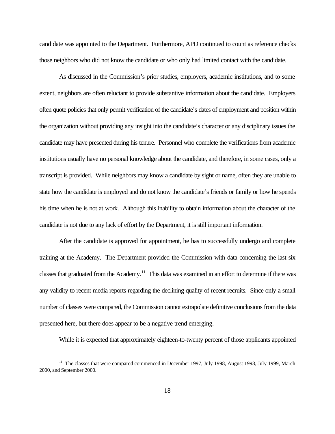candidate was appointed to the Department. Furthermore, APD continued to count as reference checks those neighbors who did not know the candidate or who only had limited contact with the candidate.

As discussed in the Commission's prior studies, employers, academic institutions, and to some extent, neighbors are often reluctant to provide substantive information about the candidate. Employers often quote policies that only permit verification of the candidate's dates of employment and position within the organization without providing any insight into the candidate's character or any disciplinary issues the candidate may have presented during his tenure. Personnel who complete the verifications from academic institutions usually have no personal knowledge about the candidate, and therefore, in some cases, only a transcript is provided. While neighbors may know a candidate by sight or name, often they are unable to state how the candidate is employed and do not know the candidate's friends or family or how he spends his time when he is not at work. Although this inability to obtain information about the character of the candidate is not due to any lack of effort by the Department, it is still important information.

After the candidate is approved for appointment, he has to successfully undergo and complete training at the Academy. The Department provided the Commission with data concerning the last six classes that graduated from the Academy.<sup>11</sup> This data was examined in an effort to determine if there was any validity to recent media reports regarding the declining quality of recent recruits. Since only a small number of classes were compared, the Commission cannot extrapolate definitive conclusions from the data presented here, but there does appear to be a negative trend emerging.

While it is expected that approximately eighteen-to-twenty percent of those applicants appointed

<sup>&</sup>lt;sup>11</sup> The classes that were compared commenced in December 1997, July 1998, August 1998, July 1999, March 2000, and September 2000.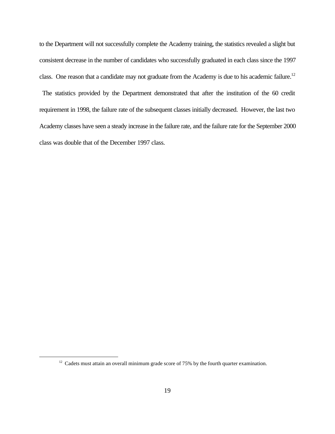to the Department will not successfully complete the Academy training, the statistics revealed a slight but consistent decrease in the number of candidates who successfully graduated in each class since the 1997 class. One reason that a candidate may not graduate from the Academy is due to his academic failure.<sup>12</sup>

 The statistics provided by the Department demonstrated that after the institution of the 60 credit requirement in 1998, the failure rate of the subsequent classes initially decreased. However, the last two Academy classes have seen a steady increase in the failure rate, and the failure rate for the September 2000 class was double that of the December 1997 class.

 $12$  Cadets must attain an overall minimum grade score of 75% by the fourth quarter examination.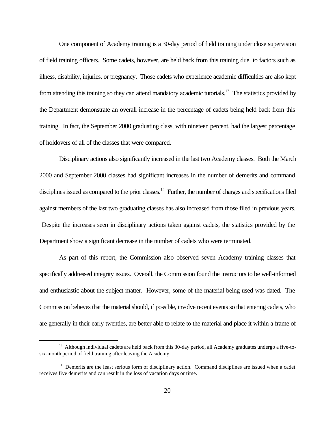One component of Academy training is a 30-day period of field training under close supervision of field training officers. Some cadets, however, are held back from this training due to factors such as illness, disability, injuries, or pregnancy. Those cadets who experience academic difficulties are also kept from attending this training so they can attend mandatory academic tutorials.<sup>13</sup> The statistics provided by the Department demonstrate an overall increase in the percentage of cadets being held back from this training. In fact, the September 2000 graduating class, with nineteen percent, had the largest percentage of holdovers of all of the classes that were compared.

Disciplinary actions also significantly increased in the last two Academy classes. Both the March 2000 and September 2000 classes had significant increases in the number of demerits and command disciplines issued as compared to the prior classes.<sup>14</sup> Further, the number of charges and specifications filed against members of the last two graduating classes has also increased from those filed in previous years. Despite the increases seen in disciplinary actions taken against cadets, the statistics provided by the Department show a significant decrease in the number of cadets who were terminated.

As part of this report, the Commission also observed seven Academy training classes that specifically addressed integrity issues. Overall, the Commission found the instructors to be well-informed and enthusiastic about the subject matter. However, some of the material being used was dated. The Commission believes that the material should, if possible, involve recent events so that entering cadets, who are generally in their early twenties, are better able to relate to the material and place it within a frame of

<sup>&</sup>lt;sup>13</sup> Although individual cadets are held back from this 30-day period, all Academy graduates undergo a five-tosix-month period of field training after leaving the Academy.

<sup>&</sup>lt;sup>14</sup> Demerits are the least serious form of disciplinary action. Command disciplines are issued when a cadet receives five demerits and can result in the loss of vacation days or time.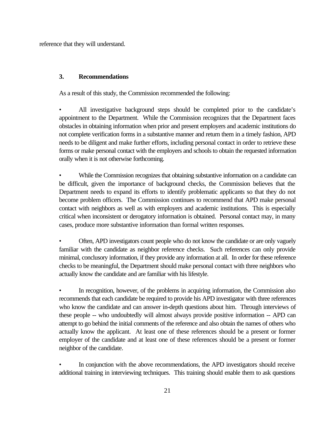reference that they will understand.

# **3. Recommendations**

As a result of this study, the Commission recommended the following:

• All investigative background steps should be completed prior to the candidate's appointment to the Department. While the Commission recognizes that the Department faces obstacles in obtaining information when prior and present employers and academic institutions do not complete verification forms in a substantive manner and return them in a timely fashion, APD needs to be diligent and make further efforts, including personal contact in order to retrieve these forms or make personal contact with the employers and schools to obtain the requested information orally when it is not otherwise forthcoming.

• While the Commission recognizes that obtaining substantive information on a candidate can be difficult, given the importance of background checks, the Commission believes that the Department needs to expand its efforts to identify problematic applicants so that they do not become problem officers. The Commission continues to recommend that APD make personal contact with neighbors as well as with employers and academic institutions. This is especially critical when inconsistent or derogatory information is obtained. Personal contact may, in many cases, produce more substantive information than formal written responses.

• Often, APD investigators count people who do not know the candidate or are only vaguely familiar with the candidate as neighbor reference checks. Such references can only provide minimal, conclusory information, if they provide any information at all. In order for these reference checks to be meaningful, the Department should make personal contact with three neighbors who actually know the candidate and are familiar with his lifestyle.

• In recognition, however, of the problems in acquiring information, the Commission also recommends that each candidate be required to provide his APD investigator with three references who know the candidate and can answer in-depth questions about him. Through interviews of these people -- who undoubtedly will almost always provide positive information -- APD can attempt to go behind the initial comments of the reference and also obtain the names of others who actually know the applicant. At least one of these references should be a present or former employer of the candidate and at least one of these references should be a present or former neighbor of the candidate.

In conjunction with the above recommendations, the APD investigators should receive additional training in interviewing techniques. This training should enable them to ask questions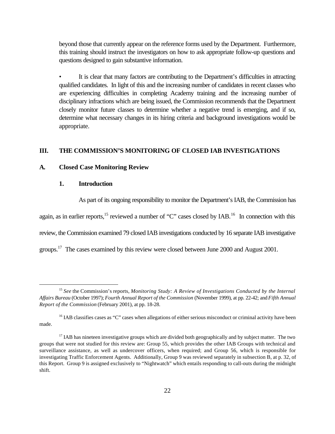beyond those that currently appear on the reference forms used by the Department. Furthermore, this training should instruct the investigators on how to ask appropriate follow-up questions and questions designed to gain substantive information.

• It is clear that many factors are contributing to the Department's difficulties in attracting qualified candidates. In light of this and the increasing number of candidates in recent classes who are experiencing difficulties in completing Academy training and the increasing number of disciplinary infractions which are being issued, the Commission recommends that the Department closely monitor future classes to determine whether a negative trend is emerging, and if so, determine what necessary changes in its hiring criteria and background investigations would be appropriate.

## **III. THE COMMISSION'S MONITORING OF CLOSED IAB INVESTIGATIONS**

## **A. Closed Case Monitoring Review**

### **1. Introduction**

 $\overline{a}$ 

As part of its ongoing responsibility to monitor the Department's IAB, the Commission has

again, as in earlier reports, $15$  reviewed a number of "C" cases closed by IAB.<sup>16</sup> In connection with this review, the Commission examined 79 closed IAB investigations conducted by 16 separate IAB investigative groups.<sup>17</sup> The cases examined by this review were closed between June 2000 and August 2001.

<sup>15</sup> *See* the Commission's reports, *Monitoring Study: A Review of Investigations Conducted by the Internal Affairs Bureau* (October 1997); *Fourth Annual Report of the Commission* (November 1999), at pp. 22-42; and *Fifth Annual Report of the Commission* (February 2001), at pp. 18-28.

 $16$  IAB classifies cases as "C" cases when allegations of either serious misconduct or criminal activity have been made.

<sup>&</sup>lt;sup>17</sup> IAB has nineteen investigative groups which are divided both geographically and by subject matter. The two groups that were not studied for this review are: Group 55, which provides the other IAB Groups with technical and surveillance assistance, as well as undercover officers, when required; and Group 56, which is responsible for investigating Traffic Enforcement Agents. Additionally, Group 9 was reviewed separately in subsection B, at p. 32, of this Report. Group 9 is assigned exclusively to "Nightwatch" which entails responding to call-outs during the midnight shift.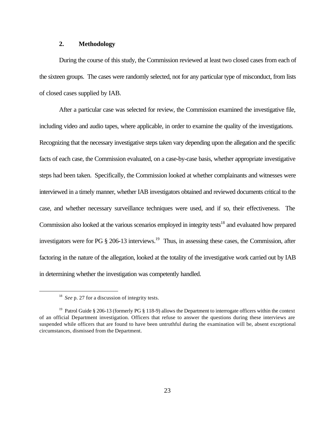### **2. Methodology**

During the course of this study, the Commission reviewed at least two closed cases from each of the sixteen groups. The cases were randomly selected, not for any particular type of misconduct, from lists of closed cases supplied by IAB.

After a particular case was selected for review, the Commission examined the investigative file, including video and audio tapes, where applicable, in order to examine the quality of the investigations. Recognizing that the necessary investigative steps taken vary depending upon the allegation and the specific facts of each case, the Commission evaluated, on a case-by-case basis, whether appropriate investigative steps had been taken. Specifically, the Commission looked at whether complainants and witnesses were interviewed in a timely manner, whether IAB investigators obtained and reviewed documents critical to the case, and whether necessary surveillance techniques were used, and if so, their effectiveness. The Commission also looked at the various scenarios employed in integrity tests<sup>18</sup> and evaluated how prepared investigators were for PG  $\S 206-13$  interviews.<sup>19</sup> Thus, in assessing these cases, the Commission, after factoring in the nature of the allegation, looked at the totality of the investigative work carried out by IAB in determining whether the investigation was competently handled.

<sup>&</sup>lt;sup>18</sup> See p. 27 for a discussion of integrity tests.

<sup>&</sup>lt;sup>19</sup> Patrol Guide § 206-13 (formerly PG § 118-9) allows the Department to interrogate officers within the context of an official Department investigation. Officers that refuse to answer the questions during these interviews are suspended while officers that are found to have been untruthful during the examination will be, absent exceptional circumstances, dismissed from the Department.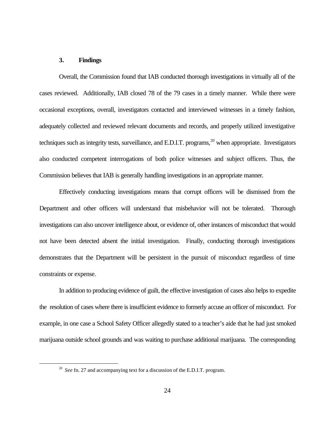## **3. Findings**

 $\overline{a}$ 

Overall, the Commission found that IAB conducted thorough investigations in virtually all of the cases reviewed. Additionally, IAB closed 78 of the 79 cases in a timely manner. While there were occasional exceptions, overall, investigators contacted and interviewed witnesses in a timely fashion, adequately collected and reviewed relevant documents and records, and properly utilized investigative techniques such as integrity tests, surveillance, and E.D.I.T. programs,  $20$  when appropriate. Investigators also conducted competent interrogations of both police witnesses and subject officers. Thus, the Commission believes that IAB is generally handling investigations in an appropriate manner.

Effectively conducting investigations means that corrupt officers will be dismissed from the Department and other officers will understand that misbehavior will not be tolerated. Thorough investigations can also uncover intelligence about, or evidence of, other instances of misconduct that would not have been detected absent the initial investigation. Finally, conducting thorough investigations demonstrates that the Department will be persistent in the pursuit of misconduct regardless of time constraints or expense.

In addition to producing evidence of guilt, the effective investigation of cases also helps to expedite the resolution of cases where there is insufficient evidence to formerly accuse an officer of misconduct. For example, in one case a School Safety Officer allegedly stated to a teacher's aide that he had just smoked marijuana outside school grounds and was waiting to purchase additional marijuana. The corresponding

<sup>&</sup>lt;sup>20</sup> See fn. 27 and accompanying text for a discussion of the E.D.I.T. program.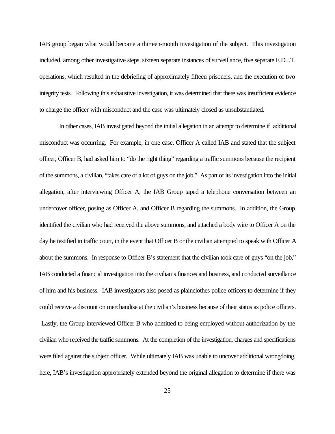IAB group began what would become a thirteen-month investigation of the subject. This investigation included, among other investigative steps, sixteen separate instances of surveillance, five separate E.D.I.T. operations, which resulted in the debriefing of approximately fifteen prisoners, and the execution of two integrity tests. Following this exhaustive investigation, it was determined that there was insufficient evidence to charge the officer with misconduct and the case was ultimately closed as unsubstantiated.

In other cases, IAB investigated beyond the initial allegation in an attempt to determine if additional misconduct was occurring. For example, in one case, Officer A called IAB and stated that the subject officer, Officer B, had asked him to "do the right thing" regarding a traffic summons because the recipient of the summons, a civilian, "takes care of a lot of guys on the job." As part of its investigation into the initial allegation, after interviewing Officer A, the IAB Group taped a telephone conversation between an undercover officer, posing as Officer A, and Officer B regarding the summons. In addition, the Group identified the civilian who had received the above summons, and attached a body wire to Officer A on the day he testified in traffic court, in the event that Officer B or the civilian attempted to speak with Officer A about the summons. In response to Officer B's statement that the civilian took care of guys "on the job," IAB conducted a financial investigation into the civilian's finances and business, and conducted surveillance of him and his business. IAB investigators also posed as plainclothes police officers to determine if they could receive a discount on merchandise at the civilian's business because of their status as police officers. Lastly, the Group interviewed Officer B who admitted to being employed without authorization by the civilian who received the traffic summons. At the completion of the investigation, charges and specifications were filed against the subject officer. While ultimately IAB was unable to uncover additional wrongdoing, here, IAB's investigation appropriately extended beyond the original allegation to determine if there was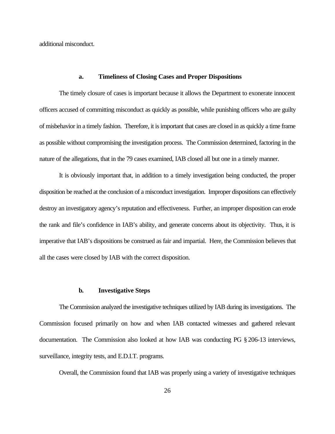additional misconduct.

#### **a. Timeliness of Closing Cases and Proper Dispositions**

The timely closure of cases is important because it allows the Department to exonerate innocent officers accused of committing misconduct as quickly as possible, while punishing officers who are guilty of misbehavior in a timely fashion. Therefore, it is important that cases are closed in as quickly a time frame as possible without compromising the investigation process. The Commission determined, factoring in the nature of the allegations, that in the 79 cases examined, IAB closed all but one in a timely manner.

It is obviously important that, in addition to a timely investigation being conducted, the proper disposition be reached at the conclusion of a misconduct investigation. Improper dispositions can effectively destroy an investigatory agency's reputation and effectiveness. Further, an improper disposition can erode the rank and file's confidence in IAB's ability, and generate concerns about its objectivity. Thus, it is imperative that IAB's dispositions be construed as fair and impartial. Here, the Commission believes that all the cases were closed by IAB with the correct disposition.

#### **b. Investigative Steps**

The Commission analyzed the investigative techniques utilized by IAB during its investigations. The Commission focused primarily on how and when IAB contacted witnesses and gathered relevant documentation. The Commission also looked at how IAB was conducting PG § 206-13 interviews, surveillance, integrity tests, and E.D.I.T. programs.

Overall, the Commission found that IAB was properly using a variety of investigative techniques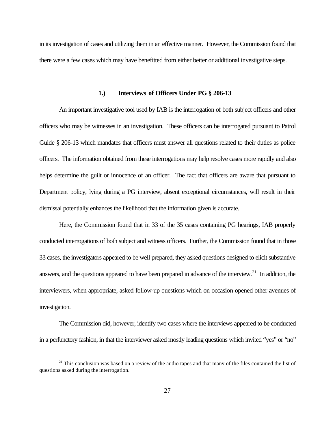in its investigation of cases and utilizing them in an effective manner. However, the Commission found that there were a few cases which may have benefitted from either better or additional investigative steps.

### **1.) Interviews of Officers Under PG § 206-13**

An important investigative tool used by IAB is the interrogation of both subject officers and other officers who may be witnesses in an investigation. These officers can be interrogated pursuant to Patrol Guide § 206-13 which mandates that officers must answer all questions related to their duties as police officers. The information obtained from these interrogations may help resolve cases more rapidly and also helps determine the guilt or innocence of an officer. The fact that officers are aware that pursuant to Department policy, lying during a PG interview, absent exceptional circumstances, will result in their dismissal potentially enhances the likelihood that the information given is accurate.

Here, the Commission found that in 33 of the 35 cases containing PG hearings, IAB properly conducted interrogations of both subject and witness officers. Further, the Commission found that in those 33 cases, the investigators appeared to be well prepared, they asked questions designed to elicit substantive answers, and the questions appeared to have been prepared in advance of the interview.<sup>21</sup> In addition, the interviewers, when appropriate, asked follow-up questions which on occasion opened other avenues of investigation.

The Commission did, however, identify two cases where the interviews appeared to be conducted in a perfunctory fashion, in that the interviewer asked mostly leading questions which invited "yes" or "no"

<sup>&</sup>lt;sup>21</sup> This conclusion was based on a review of the audio tapes and that many of the files contained the list of questions asked during the interrogation.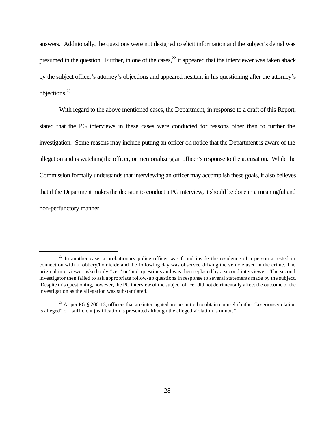answers. Additionally, the questions were not designed to elicit information and the subject's denial was presumed in the question. Further, in one of the cases,  $22$  it appeared that the interviewer was taken aback by the subject officer's attorney's objections and appeared hesitant in his questioning after the attorney's objections.<sup>23</sup>

With regard to the above mentioned cases, the Department, in response to a draft of this Report, stated that the PG interviews in these cases were conducted for reasons other than to further the investigation. Some reasons may include putting an officer on notice that the Department is aware of the allegation and is watching the officer, or memorializing an officer's response to the accusation. While the Commission formally understands that interviewing an officer may accomplish these goals, it also believes that if the Department makes the decision to conduct a PG interview, it should be done in a meaningful and non-perfunctory manner.

 $22$  In another case, a probationary police officer was found inside the residence of a person arrested in connection with a robbery/homicide and the following day was observed driving the vehicle used in the crime. The original interviewer asked only "yes" or "no" questions and was then replaced by a second interviewer. The second investigator then failed to ask appropriate follow-up questions in response to several statements made by the subject. Despite this questioning, however, the PG interview of the subject officer did not detrimentally affect the outcome of the investigation as the allegation was substantiated.

<sup>&</sup>lt;sup>23</sup> As per PG  $\S$  206-13, officers that are interrogated are permitted to obtain counsel if either "a serious violation is alleged" or "sufficient justification is presented although the alleged violation is minor."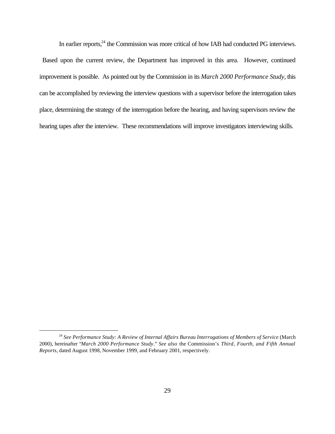In earlier reports,<sup>24</sup> the Commission was more critical of how IAB had conducted PG interviews. Based upon the current review, the Department has improved in this area. However, continued improvement is possible. As pointed out by the Commission in its *March 2000 Performance Study*, this can be accomplished by reviewing the interview questions with a supervisor before the interrogation takes place, determining the strategy of the interrogation before the hearing, and having supervisors review the hearing tapes after the interview. These recommendations will improve investigators interviewing skills.

<sup>24</sup> *See Performance Study: A Review of Internal Affairs Bureau Interrogations of Members of Service* (March 2000), hereinafter "*March 2000 Performance Study*." *See also* the Commission's *Third, Fourth, and Fifth Annual Reports*, dated August 1998, November 1999, and February 2001, respectively.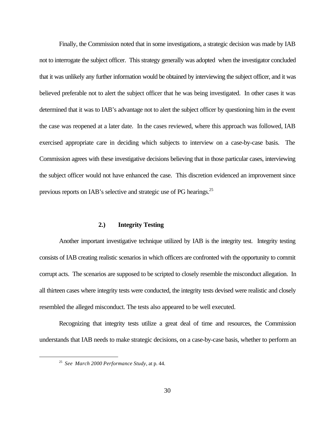Finally, the Commission noted that in some investigations, a strategic decision was made by IAB not to interrogate the subject officer. This strategy generally was adopted when the investigator concluded that it was unlikely any further information would be obtained by interviewing the subject officer, and it was believed preferable not to alert the subject officer that he was being investigated. In other cases it was determined that it was to IAB's advantage not to alert the subject officer by questioning him in the event the case was reopened at a later date. In the cases reviewed, where this approach was followed, IAB exercised appropriate care in deciding which subjects to interview on a case-by-case basis. The Commission agrees with these investigative decisions believing that in those particular cases, interviewing the subject officer would not have enhanced the case. This discretion evidenced an improvement since previous reports on IAB's selective and strategic use of PG hearings.<sup>25</sup>

## **2.) Integrity Testing**

Another important investigative technique utilized by IAB is the integrity test. Integrity testing consists of IAB creating realistic scenarios in which officers are confronted with the opportunity to commit corrupt acts. The scenarios are supposed to be scripted to closely resemble the misconduct allegation. In all thirteen cases where integrity tests were conducted, the integrity tests devised were realistic and closely resembled the alleged misconduct. The tests also appeared to be well executed.

Recognizing that integrity tests utilize a great deal of time and resources, the Commission understands that IAB needs to make strategic decisions, on a case-by-case basis, whether to perform an

<sup>25</sup> *See March 2000 Performance Study*, at p. 44.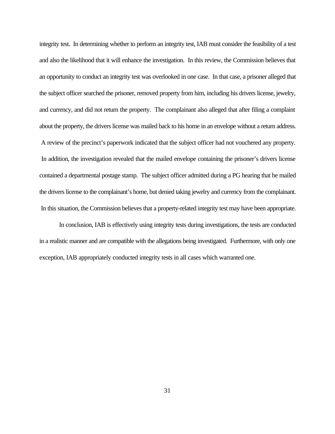integrity test. In determining whether to perform an integrity test, IAB must consider the feasibility of a test and also the likelihood that it will enhance the investigation. In this review, the Commission believes that an opportunity to conduct an integrity test was overlooked in one case. In that case, a prisoner alleged that the subject officer searched the prisoner, removed property from him, including his drivers license, jewelry, and currency, and did not return the property. The complainant also alleged that after filing a complaint about the property, the drivers license was mailed back to his home in an envelope without a return address. A review of the precinct's paperwork indicated that the subject officer had not vouchered any property. In addition, the investigation revealed that the mailed envelope containing the prisoner's drivers license contained a departmental postage stamp. The subject officer admitted during a PG hearing that he mailed the drivers license to the complainant's home, but denied taking jewelry and currency from the complainant. In this situation, the Commission believes that a property-related integrity test may have been appropriate.

In conclusion, IAB is effectively using integrity tests during investigations, the tests are conducted in a realistic manner and are compatible with the allegations being investigated. Furthermore, with only one exception, IAB appropriately conducted integrity tests in all cases which warranted one.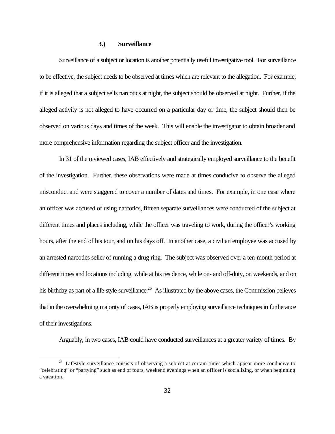## **3.) Surveillance**

Surveillance of a subject or location is another potentially useful investigative tool. For surveillance to be effective, the subject needs to be observed at times which are relevant to the allegation. For example, if it is alleged that a subject sells narcotics at night, the subject should be observed at night. Further, if the alleged activity is not alleged to have occurred on a particular day or time, the subject should then be observed on various days and times of the week. This will enable the investigator to obtain broader and more comprehensive information regarding the subject officer and the investigation.

In 31 of the reviewed cases, IAB effectively and strategically employed surveillance to the benefit of the investigation. Further, these observations were made at times conducive to observe the alleged misconduct and were staggered to cover a number of dates and times. For example, in one case where an officer was accused of using narcotics, fifteen separate surveillances were conducted of the subject at different times and places including, while the officer was traveling to work, during the officer's working hours, after the end of his tour, and on his days off. In another case, a civilian employee was accused by an arrested narcotics seller of running a drug ring. The subject was observed over a ten-month period at different times and locations including, while at his residence, while on- and off-duty, on weekends, and on his birthday as part of a life-style surveillance.<sup>26</sup> As illustrated by the above cases, the Commission believes that in the overwhelming majority of cases, IAB is properly employing surveillance techniques in furtherance of their investigations.

Arguably, in two cases, IAB could have conducted surveillances at a greater variety of times. By

<sup>&</sup>lt;sup>26</sup> Lifestyle surveillance consists of observing a subject at certain times which appear more conducive to "celebrating" or "partying" such as end of tours, weekend evenings when an officer is socializing, or when beginning a vacation.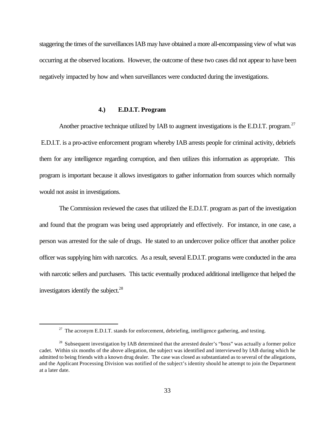staggering the times of the surveillances IAB may have obtained a more all-encompassing view of what was occurring at the observed locations. However, the outcome of these two cases did not appear to have been negatively impacted by how and when surveillances were conducted during the investigations.

## **4.) E.D.I.T. Program**

Another proactive technique utilized by IAB to augment investigations is the E.D.I.T. program.<sup>27</sup> E.D.I.T. is a pro-active enforcement program whereby IAB arrests people for criminal activity, debriefs them for any intelligence regarding corruption, and then utilizes this information as appropriate. This program is important because it allows investigators to gather information from sources which normally would not assist in investigations.

The Commission reviewed the cases that utilized the E.D.I.T. program as part of the investigation and found that the program was being used appropriately and effectively. For instance, in one case, a person was arrested for the sale of drugs. He stated to an undercover police officer that another police officer was supplying him with narcotics. As a result, several E.D.I.T. programs were conducted in the area with narcotic sellers and purchasers. This tactic eventually produced additional intelligence that helped the investigators identify the subject. $^{28}$ 

 $27$  The acronym E.D.I.T. stands for enforcement, debriefing, intelligence gathering, and testing.

<sup>&</sup>lt;sup>28</sup> Subsequent investigation by IAB determined that the arrested dealer's "boss" was actually a former police cadet. Within six months of the above allegation, the subject was identified and interviewed by IAB during which he admitted to being friends with a known drug dealer. The case was closed as substantiated as to several of the allegations, and the Applicant Processing Division was notified of the subject's identity should he attempt to join the Department at a later date.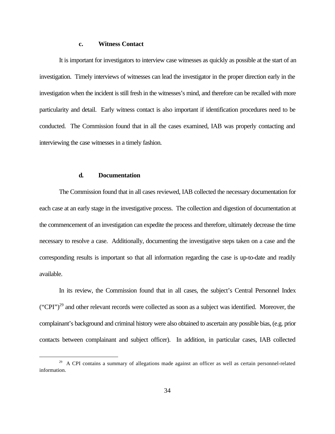#### **c. Witness Contact**

It is important for investigators to interview case witnesses as quickly as possible at the start of an investigation. Timely interviews of witnesses can lead the investigator in the proper direction early in the investigation when the incident is still fresh in the witnesses's mind, and therefore can be recalled with more particularity and detail. Early witness contact is also important if identification procedures need to be conducted. The Commission found that in all the cases examined, IAB was properly contacting and interviewing the case witnesses in a timely fashion.

#### **d. Documentation**

 $\overline{a}$ 

The Commission found that in all cases reviewed, IAB collected the necessary documentation for each case at an early stage in the investigative process. The collection and digestion of documentation at the commencement of an investigation can expedite the process and therefore, ultimately decrease the time necessary to resolve a case. Additionally, documenting the investigative steps taken on a case and the corresponding results is important so that all information regarding the case is up-to-date and readily available.

In its review, the Commission found that in all cases, the subject's Central Personnel Index  $("CPI")<sup>29</sup>$  and other relevant records were collected as soon as a subject was identified. Moreover, the complainant's background and criminal history were also obtained to ascertain any possible bias, (e.g. prior contacts between complainant and subject officer). In addition, in particular cases, IAB collected

<sup>&</sup>lt;sup>29</sup> A CPI contains a summary of allegations made against an officer as well as certain personnel-related information.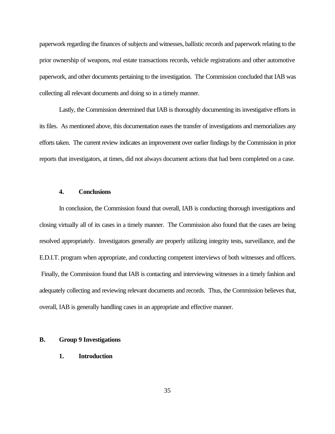paperwork regarding the finances of subjects and witnesses, ballistic records and paperwork relating to the prior ownership of weapons, real estate transactions records, vehicle registrations and other automotive paperwork, and other documents pertaining to the investigation. The Commission concluded that IAB was collecting all relevant documents and doing so in a timely manner.

Lastly, the Commission determined that IAB is thoroughly documenting its investigative efforts in its files. As mentioned above, this documentation eases the transfer of investigations and memorializes any efforts taken. The current review indicates an improvement over earlier findings by the Commission in prior reports that investigators, at times, did not always document actions that had been completed on a case.

## **4. Conclusions**

In conclusion, the Commission found that overall, IAB is conducting thorough investigations and closing virtually all of its cases in a timely manner. The Commission also found that the cases are being resolved appropriately. Investigators generally are properly utilizing integrity tests, surveillance, and the E.D.I.T. program when appropriate, and conducting competent interviews of both witnesses and officers. Finally, the Commission found that IAB is contacting and interviewing witnesses in a timely fashion and adequately collecting and reviewing relevant documents and records. Thus, the Commission believes that, overall, IAB is generally handling cases in an appropriate and effective manner.

## **B. Group 9 Investigations**

## **1. Introduction**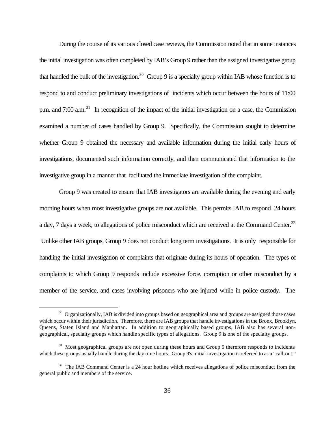During the course of its various closed case reviews, the Commission noted that in some instances the initial investigation was often completed by IAB's Group 9 rather than the assigned investigative group that handled the bulk of the investigation.<sup>30</sup> Group 9 is a specialty group within IAB whose function is to respond to and conduct preliminary investigations of incidents which occur between the hours of 11:00 p.m. and 7:00 a.m.<sup>31</sup> In recognition of the impact of the initial investigation on a case, the Commission examined a number of cases handled by Group 9. Specifically, the Commission sought to determine whether Group 9 obtained the necessary and available information during the initial early hours of investigations, documented such information correctly, and then communicated that information to the investigative group in a manner that facilitated the immediate investigation of the complaint.

Group 9 was created to ensure that IAB investigators are available during the evening and early morning hours when most investigative groups are not available. This permits IAB to respond 24 hours a day, 7 days a week, to allegations of police misconduct which are received at the Command Center.<sup>32</sup> Unlike other IAB groups, Group 9 does not conduct long term investigations. It is only responsible for handling the initial investigation of complaints that originate during its hours of operation. The types of complaints to which Group 9 responds include excessive force, corruption or other misconduct by a member of the service, and cases involving prisoners who are injured while in police custody. The

<sup>&</sup>lt;sup>30</sup> Organizationally, IAB is divided into groups based on geographical area and groups are assigned those cases which occur within their jurisdiction. Therefore, there are IAB groups that handle investigations in the Bronx, Brooklyn, Queens, Staten Island and Manhattan. In addition to geographically based groups, IAB also has several nongeographical, specialty groups which handle specific types of allegations. Group 9 is one of the specialty groups.

 $31$  Most geographical groups are not open during these hours and Group 9 therefore responds to incidents which these groups usually handle during the day time hours. Group 9's initial investigation is referred to as a "call-out."

 $32$  The IAB Command Center is a 24 hour hotline which receives allegations of police misconduct from the general public and members of the service.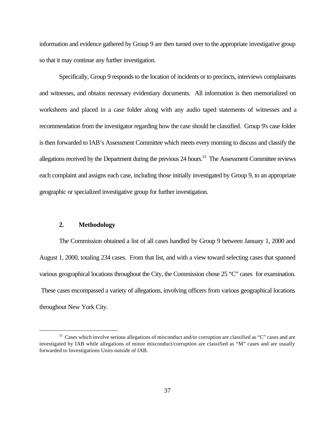information and evidence gathered by Group 9 are then turned over to the appropriate investigative group so that it may continue any further investigation.

Specifically, Group 9 responds to the location of incidents or to precincts, interviews complainants and witnesses, and obtains necessary evidentiary documents. All information is then memorialized on worksheets and placed in a case folder along with any audio taped statements of witnesses and a recommendation from the investigator regarding how the case should be classified. Group 9's case folder is then forwarded to IAB's Assessment Committee which meets every morning to discuss and classify the allegations received by the Department during the previous 24 hours.<sup>33</sup> The Assessment Committee reviews each complaint and assigns each case, including those initially investigated by Group 9, to an appropriate geographic or specialized investigative group for further investigation.

# **2. Methodology**

 $\overline{a}$ 

The Commission obtained a list of all cases handled by Group 9 between January 1, 2000 and August 1, 2000, totaling 234 cases. From that list, and with a view toward selecting cases that spanned various geographical locations throughout the City, the Commission chose 25 "C" cases for examination. These cases encompassed a variety of allegations, involving officers from various geographical locations throughout New York City.

<sup>&</sup>lt;sup>33</sup> Cases which involve serious allegations of misconduct and/or corruption are classified as "C" cases and are investigated by IAB while allegations of minor misconduct/corruption are classified as "M" cases and are usually forwarded to Investigations Units outside of IAB.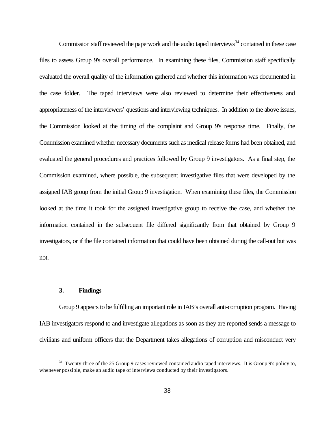Commission staff reviewed the paperwork and the audio taped interviews $34$  contained in these case files to assess Group 9's overall performance. In examining these files, Commission staff specifically evaluated the overall quality of the information gathered and whether this information was documented in the case folder. The taped interviews were also reviewed to determine their effectiveness and appropriateness of the interviewers' questions and interviewing techniques. In addition to the above issues, the Commission looked at the timing of the complaint and Group 9's response time. Finally, the Commission examined whether necessary documents such as medical release forms had been obtained, and evaluated the general procedures and practices followed by Group 9 investigators. As a final step, the Commission examined, where possible, the subsequent investigative files that were developed by the assigned IAB group from the initial Group 9 investigation. When examining these files, the Commission looked at the time it took for the assigned investigative group to receive the case, and whether the information contained in the subsequent file differed significantly from that obtained by Group 9 investigators, or if the file contained information that could have been obtained during the call-out but was not.

# **3. Findings**

 $\overline{a}$ 

Group 9 appears to be fulfilling an important role in IAB's overall anti-corruption program. Having IAB investigators respond to and investigate allegations as soon as they are reported sends a message to civilians and uniform officers that the Department takes allegations of corruption and misconduct very

<sup>&</sup>lt;sup>34</sup> Twenty-three of the 25 Group 9 cases reviewed contained audio taped interviews. It is Group 9's policy to, whenever possible, make an audio tape of interviews conducted by their investigators.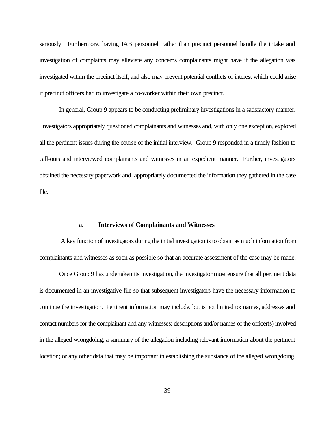seriously. Furthermore, having IAB personnel, rather than precinct personnel handle the intake and investigation of complaints may alleviate any concerns complainants might have if the allegation was investigated within the precinct itself, and also may prevent potential conflicts of interest which could arise if precinct officers had to investigate a co-worker within their own precinct.

In general, Group 9 appears to be conducting preliminary investigations in a satisfactory manner. Investigators appropriately questioned complainants and witnesses and, with only one exception, explored all the pertinent issues during the course of the initial interview. Group 9 responded in a timely fashion to call-outs and interviewed complainants and witnesses in an expedient manner. Further, investigators obtained the necessary paperwork and appropriately documented the information they gathered in the case file.

#### **a. Interviews of Complainants and Witnesses**

 A key function of investigators during the initial investigation is to obtain as much information from complainants and witnesses as soon as possible so that an accurate assessment of the case may be made.

Once Group 9 has undertaken its investigation, the investigator must ensure that all pertinent data is documented in an investigative file so that subsequent investigators have the necessary information to continue the investigation. Pertinent information may include, but is not limited to: names, addresses and contact numbers for the complainant and any witnesses; descriptions and/or names of the officer(s) involved in the alleged wrongdoing; a summary of the allegation including relevant information about the pertinent location; or any other data that may be important in establishing the substance of the alleged wrongdoing.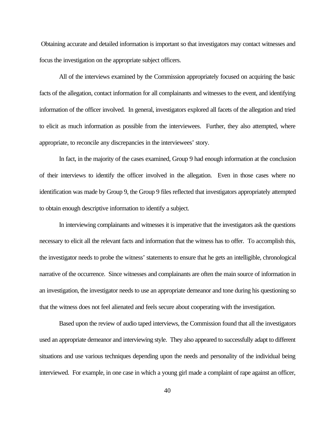Obtaining accurate and detailed information is important so that investigators may contact witnesses and focus the investigation on the appropriate subject officers.

All of the interviews examined by the Commission appropriately focused on acquiring the basic facts of the allegation, contact information for all complainants and witnesses to the event, and identifying information of the officer involved. In general, investigators explored all facets of the allegation and tried to elicit as much information as possible from the interviewees. Further, they also attempted, where appropriate, to reconcile any discrepancies in the interviewees' story.

In fact, in the majority of the cases examined, Group 9 had enough information at the conclusion of their interviews to identify the officer involved in the allegation. Even in those cases where no identification was made by Group 9, the Group 9 files reflected that investigators appropriately attempted to obtain enough descriptive information to identify a subject.

In interviewing complainants and witnesses it is imperative that the investigators ask the questions necessary to elicit all the relevant facts and information that the witness has to offer. To accomplish this, the investigator needs to probe the witness' statements to ensure that he gets an intelligible, chronological narrative of the occurrence. Since witnesses and complainants are often the main source of information in an investigation, the investigator needs to use an appropriate demeanor and tone during his questioning so that the witness does not feel alienated and feels secure about cooperating with the investigation.

Based upon the review of audio taped interviews, the Commission found that all the investigators used an appropriate demeanor and interviewing style. They also appeared to successfully adapt to different situations and use various techniques depending upon the needs and personality of the individual being interviewed. For example, in one case in which a young girl made a complaint of rape against an officer,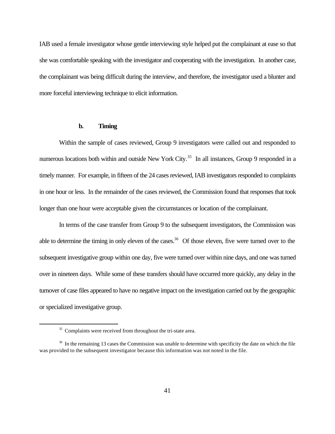IAB used a female investigator whose gentle interviewing style helped put the complainant at ease so that she was comfortable speaking with the investigator and cooperating with the investigation. In another case, the complainant was being difficult during the interview, and therefore, the investigator used a blunter and more forceful interviewing technique to elicit information.

#### **b. Timing**

Within the sample of cases reviewed, Group 9 investigators were called out and responded to numerous locations both within and outside New York City.<sup>35</sup> In all instances, Group 9 responded in a timely manner. For example, in fifteen of the 24 cases reviewed, IAB investigators responded to complaints in one hour or less. In the remainder of the cases reviewed, the Commission found that responses that took longer than one hour were acceptable given the circumstances or location of the complainant.

In terms of the case transfer from Group 9 to the subsequent investigators, the Commission was able to determine the timing in only eleven of the cases.<sup>36</sup> Of those eleven, five were turned over to the subsequent investigative group within one day, five were turned over within nine days, and one was turned over in nineteen days. While some of these transfers should have occurred more quickly, any delay in the turnover of case files appeared to have no negative impact on the investigation carried out by the geographic or specialized investigative group.

<sup>&</sup>lt;sup>35</sup> Complaints were received from throughout the tri-state area.

<sup>&</sup>lt;sup>36</sup> In the remaining 13 cases the Commission was unable to determine with specificity the date on which the file was provided to the subsequent investigator because this information was not noted in the file.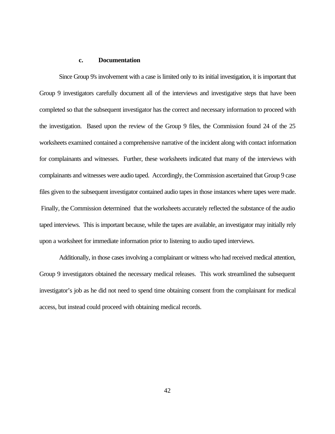# **c. Documentation**

Since Group 9's involvement with a case is limited only to its initial investigation, it is important that Group 9 investigators carefully document all of the interviews and investigative steps that have been completed so that the subsequent investigator has the correct and necessary information to proceed with the investigation. Based upon the review of the Group 9 files, the Commission found 24 of the 25 worksheets examined contained a comprehensive narrative of the incident along with contact information for complainants and witnesses. Further, these worksheets indicated that many of the interviews with complainants and witnesses were audio taped. Accordingly, the Commission ascertained that Group 9 case files given to the subsequent investigator contained audio tapes in those instances where tapes were made. Finally, the Commission determined that the worksheets accurately reflected the substance of the audio taped interviews. This is important because, while the tapes are available, an investigator may initially rely upon a worksheet for immediate information prior to listening to audio taped interviews.

Additionally, in those cases involving a complainant or witness who had received medical attention, Group 9 investigators obtained the necessary medical releases. This work streamlined the subsequent investigator's job as he did not need to spend time obtaining consent from the complainant for medical access, but instead could proceed with obtaining medical records.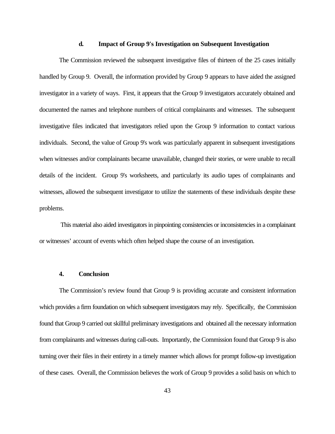#### **d. Impact of Group 9's Investigation on Subsequent Investigation**

The Commission reviewed the subsequent investigative files of thirteen of the 25 cases initially handled by Group 9. Overall, the information provided by Group 9 appears to have aided the assigned investigator in a variety of ways. First, it appears that the Group 9 investigators accurately obtained and documented the names and telephone numbers of critical complainants and witnesses. The subsequent investigative files indicated that investigators relied upon the Group 9 information to contact various individuals. Second, the value of Group 9's work was particularly apparent in subsequent investigations when witnesses and/or complainants became unavailable, changed their stories, or were unable to recall details of the incident. Group 9's worksheets, and particularly its audio tapes of complainants and witnesses, allowed the subsequent investigator to utilize the statements of these individuals despite these problems.

 This material also aided investigators in pinpointing consistencies or inconsistencies in a complainant or witnesses' account of events which often helped shape the course of an investigation.

#### **4. Conclusion**

The Commission's review found that Group 9 is providing accurate and consistent information which provides a firm foundation on which subsequent investigators may rely. Specifically, the Commission found that Group 9 carried out skillful preliminary investigations and obtained all the necessary information from complainants and witnesses during call-outs. Importantly, the Commission found that Group 9 is also turning over their files in their entirety in a timely manner which allows for prompt follow-up investigation of these cases. Overall, the Commission believes the work of Group 9 provides a solid basis on which to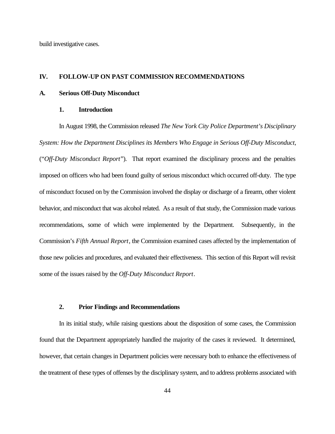build investigative cases.

#### **IV. FOLLOW-UP ON PAST COMMISSION RECOMMENDATIONS**

#### **A. Serious Off-Duty Misconduct**

### **1. Introduction**

In August 1998, the Commission released *The New York City Police Department's Disciplinary System: How the Department Disciplines its Members Who Engage in Serious Off-Duty Misconduct,* ("*Off-Duty Misconduct Report*"). That report examined the disciplinary process and the penalties imposed on officers who had been found guilty of serious misconduct which occurred off-duty. The type of misconduct focused on by the Commission involved the display or discharge of a firearm, other violent behavior, and misconduct that was alcohol related. As a result of that study, the Commission made various recommendations, some of which were implemented by the Department. Subsequently, in the Commission's *Fifth Annual Report*, the Commission examined cases affected by the implementation of those new policies and procedures, and evaluated their effectiveness. This section of this Report will revisit some of the issues raised by the *Off-Duty Misconduct Report*.

## **2. Prior Findings and Recommendations**

In its initial study, while raising questions about the disposition of some cases, the Commission found that the Department appropriately handled the majority of the cases it reviewed. It determined, however, that certain changes in Department policies were necessary both to enhance the effectiveness of the treatment of these types of offenses by the disciplinary system, and to address problems associated with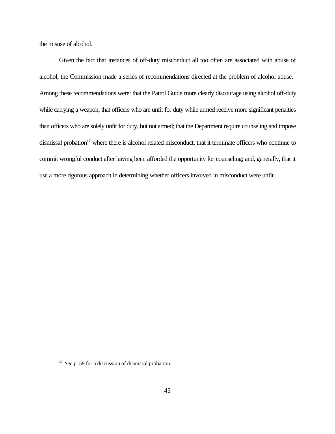the misuse of alcohol.

Given the fact that instances of off-duty misconduct all too often are associated with abuse of alcohol, the Commission made a series of recommendations directed at the problem of alcohol abuse. Among these recommendations were: that the Patrol Guide more clearly discourage using alcohol off-duty while carrying a weapon; that officers who are unfit for duty while armed receive more significant penalties than officers who are solely unfit for duty, but not armed; that the Department require counseling and impose dismissal probation<sup>37</sup> where there is alcohol related misconduct; that it terminate officers who continue to commit wrongful conduct after having been afforded the opportunity for counseling; and, generally, that it use a more rigorous approach in determining whether officers involved in misconduct were unfit.

<sup>&</sup>lt;sup>37</sup> See p. 59 for a discussion of dismissal probation.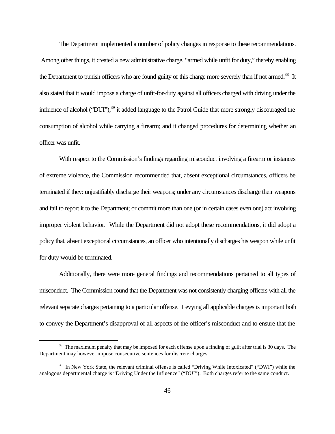The Department implemented a number of policy changes in response to these recommendations. Among other things, it created a new administrative charge, "armed while unfit for duty," thereby enabling the Department to punish officers who are found guilty of this charge more severely than if not armed.<sup>38</sup> It also stated that it would impose a charge of unfit-for-duty against all officers charged with driving under the influence of alcohol ("DUI");<sup>39</sup> it added language to the Patrol Guide that more strongly discouraged the consumption of alcohol while carrying a firearm; and it changed procedures for determining whether an officer was unfit.

With respect to the Commission's findings regarding misconduct involving a firearm or instances of extreme violence, the Commission recommended that, absent exceptional circumstances, officers be terminated if they: unjustifiably discharge their weapons; under any circumstances discharge their weapons and fail to report it to the Department; or commit more than one (or in certain cases even one) act involving improper violent behavior. While the Department did not adopt these recommendations, it did adopt a policy that, absent exceptional circumstances, an officer who intentionally discharges his weapon while unfit for duty would be terminated.

Additionally, there were more general findings and recommendations pertained to all types of misconduct. The Commission found that the Department was not consistently charging officers with all the relevant separate charges pertaining to a particular offense. Levying all applicable charges is important both to convey the Department's disapproval of all aspects of the officer's misconduct and to ensure that the

<sup>&</sup>lt;sup>38</sup> The maximum penalty that may be imposed for each offense upon a finding of guilt after trial is 30 days. The Department may however impose consecutive sentences for discrete charges.

 $39$  In New York State, the relevant criminal offense is called "Driving While Intoxicated" ("DWI") while the analogous departmental charge is "Driving Under the Influence" ("DUI"). Both charges refer to the same conduct.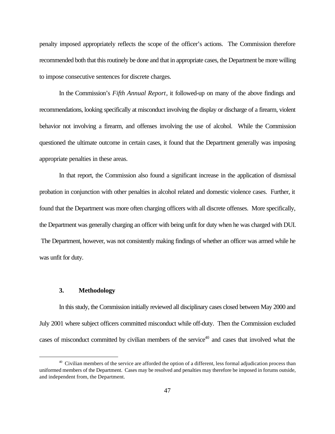penalty imposed appropriately reflects the scope of the officer's actions. The Commission therefore recommended both that this routinely be done and that in appropriate cases, the Department be more willing to impose consecutive sentences for discrete charges.

In the Commission's *Fifth Annual Report*, it followed-up on many of the above findings and recommendations, looking specifically at misconduct involving the display or discharge of a firearm, violent behavior not involving a firearm, and offenses involving the use of alcohol. While the Commission questioned the ultimate outcome in certain cases, it found that the Department generally was imposing appropriate penalties in these areas.

In that report, the Commission also found a significant increase in the application of dismissal probation in conjunction with other penalties in alcohol related and domestic violence cases. Further, it found that the Department was more often charging officers with all discrete offenses. More specifically, the Department was generally charging an officer with being unfit for duty when he was charged with DUI. The Department, however, was not consistently making findings of whether an officer was armed while he was unfit for duty.

### **3. Methodology**

 $\overline{a}$ 

In this study, the Commission initially reviewed all disciplinary cases closed between May 2000 and July 2001 where subject officers committed misconduct while off-duty. Then the Commission excluded cases of misconduct committed by civilian members of the service<sup>40</sup> and cases that involved what the

<sup>&</sup>lt;sup>40</sup> Civilian members of the service are afforded the option of a different, less formal adjudication process than uniformed members of the Department. Cases may be resolved and penalties may therefore be imposed in forums outside, and independent from, the Department.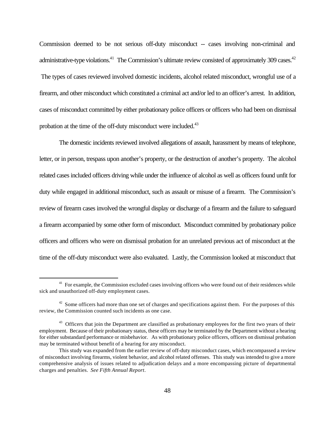Commission deemed to be not serious off-duty misconduct -- cases involving non-criminal and administrative-type violations.<sup>41</sup> The Commission's ultimate review consisted of approximately 309 cases.<sup>42</sup> The types of cases reviewed involved domestic incidents, alcohol related misconduct, wrongful use of a firearm, and other misconduct which constituted a criminal act and/or led to an officer's arrest. In addition, cases of misconduct committed by either probationary police officers or officers who had been on dismissal probation at the time of the off-duty misconduct were included.<sup>43</sup>

The domestic incidents reviewed involved allegations of assault, harassment by means of telephone, letter, or in person, trespass upon another's property, or the destruction of another's property. The alcohol related cases included officers driving while under the influence of alcohol as well as officers found unfit for duty while engaged in additional misconduct, such as assault or misuse of a firearm. The Commission's review of firearm cases involved the wrongful display or discharge of a firearm and the failure to safeguard a firearm accompanied by some other form of misconduct. Misconduct committed by probationary police officers and officers who were on dismissal probation for an unrelated previous act of misconduct at the time of the off-duty misconduct were also evaluated. Lastly, the Commission looked at misconduct that

<sup>&</sup>lt;sup>41</sup> For example, the Commission excluded cases involving officers who were found out of their residences while sick and unauthorized off-duty employment cases.

 $42$  Some officers had more than one set of charges and specifications against them. For the purposes of this review, the Commission counted such incidents as one case.

<sup>&</sup>lt;sup>43</sup> Officers that join the Department are classified as probationary employees for the first two years of their employment. Because of their probationary status, these officers may be terminated by the Department without a hearing for either substandard performance or misbehavior. As with probationary police officers, officers on dismissal probation may be terminated without benefit of a hearing for any misconduct.

This study was expanded from the earlier review of off-duty misconduct cases, which encompassed a review of misconduct involving firearms, violent behavior, and alcohol related offenses. This study was intended to give a more comprehensive analysis of issues related to adjudication delays and a more encompassing picture of departmental charges and penalties. *See Fifth Annual Report*.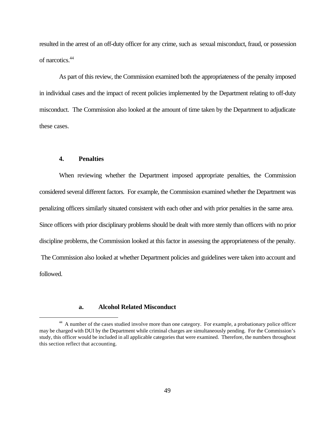resulted in the arrest of an off-duty officer for any crime, such as sexual misconduct, fraud, or possession of narcotics.<sup>44</sup>

As part of this review, the Commission examined both the appropriateness of the penalty imposed in individual cases and the impact of recent policies implemented by the Department relating to off-duty misconduct. The Commission also looked at the amount of time taken by the Department to adjudicate these cases.

### **4. Penalties**

 $\overline{a}$ 

When reviewing whether the Department imposed appropriate penalties, the Commission considered several different factors. For example, the Commission examined whether the Department was penalizing officers similarly situated consistent with each other and with prior penalties in the same area. Since officers with prior disciplinary problems should be dealt with more sternly than officers with no prior discipline problems, the Commission looked at this factor in assessing the appropriateness of the penalty. The Commission also looked at whether Department policies and guidelines were taken into account and followed.

## **a. Alcohol Related Misconduct**

<sup>&</sup>lt;sup>44</sup> A number of the cases studied involve more than one category. For example, a probationary police officer may be charged with DUI by the Department while criminal charges are simultaneously pending. For the Commission's study, this officer would be included in all applicable categories that were examined. Therefore, the numbers throughout this section reflect that accounting.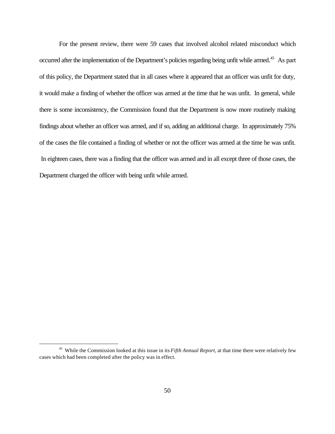For the present review, there were 59 cases that involved alcohol related misconduct which occurred after the implementation of the Department's policies regarding being unfit while armed.<sup>45</sup> As part of this policy, the Department stated that in all cases where it appeared that an officer was unfit for duty, it would make a finding of whether the officer was armed at the time that he was unfit. In general, while there is some inconsistency, the Commission found that the Department is now more routinely making findings about whether an officer was armed, and if so, adding an additional charge. In approximately 75% of the cases the file contained a finding of whether or not the officer was armed at the time he was unfit. In eighteen cases, there was a finding that the officer was armed and in all except three of those cases, the Department charged the officer with being unfit while armed.

<sup>45</sup> While the Commission looked at this issue in its *Fifth Annual Report*, at that time there were relatively few cases which had been completed after the policy was in effect.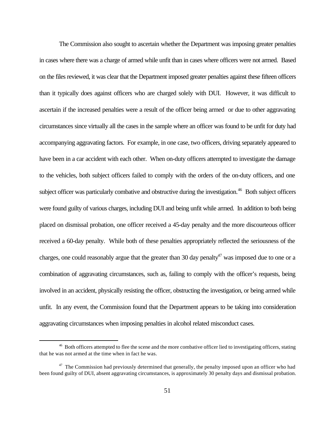The Commission also sought to ascertain whether the Department was imposing greater penalties in cases where there was a charge of armed while unfit than in cases where officers were not armed. Based on the files reviewed, it was clear that the Department imposed greater penalties against these fifteen officers than it typically does against officers who are charged solely with DUI. However, it was difficult to ascertain if the increased penalties were a result of the officer being armed or due to other aggravating circumstances since virtually all the cases in the sample where an officer was found to be unfit for duty had accompanying aggravating factors. For example, in one case, two officers, driving separately appeared to have been in a car accident with each other. When on-duty officers attempted to investigate the damage to the vehicles, both subject officers failed to comply with the orders of the on-duty officers, and one subject officer was particularly combative and obstructive during the investigation.<sup>46</sup> Both subject officers were found guilty of various charges, including DUI and being unfit while armed. In addition to both being placed on dismissal probation, one officer received a 45-day penalty and the more discourteous officer received a 60-day penalty. While both of these penalties appropriately reflected the seriousness of the charges, one could reasonably argue that the greater than 30 day penalty<sup>47</sup> was imposed due to one or a combination of aggravating circumstances, such as, failing to comply with the officer's requests, being involved in an accident, physically resisting the officer, obstructing the investigation, or being armed while unfit. In any event, the Commission found that the Department appears to be taking into consideration aggravating circumstances when imposing penalties in alcohol related misconduct cases.

<sup>&</sup>lt;sup>46</sup> Both officers attempted to flee the scene and the more combative officer lied to investigating officers, stating that he was not armed at the time when in fact he was.

 $47$  The Commission had previously determined that generally, the penalty imposed upon an officer who had been found guilty of DUI, absent aggravating circumstances, is approximately 30 penalty days and dismissal probation.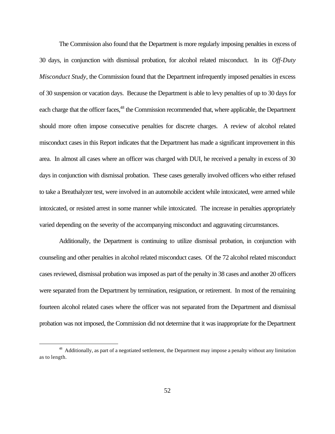The Commission also found that the Department is more regularly imposing penalties in excess of 30 days, in conjunction with dismissal probation, for alcohol related misconduct. In its *Off-Duty Misconduct Study*, the Commission found that the Department infrequently imposed penalties in excess of 30 suspension or vacation days. Because the Department is able to levy penalties of up to 30 days for each charge that the officer faces,<sup>48</sup> the Commission recommended that, where applicable, the Department should more often impose consecutive penalties for discrete charges. A review of alcohol related misconduct cases in this Report indicates that the Department has made a significant improvement in this area. In almost all cases where an officer was charged with DUI, he received a penalty in excess of 30 days in conjunction with dismissal probation. These cases generally involved officers who either refused to take a Breathalyzer test, were involved in an automobile accident while intoxicated, were armed while intoxicated, or resisted arrest in some manner while intoxicated. The increase in penalties appropriately varied depending on the severity of the accompanying misconduct and aggravating circumstances.

Additionally, the Department is continuing to utilize dismissal probation, in conjunction with counseling and other penalties in alcohol related misconduct cases. Of the 72 alcohol related misconduct cases reviewed, dismissal probation was imposed as part of the penalty in 38 cases and another 20 officers were separated from the Department by termination, resignation, or retirement. In most of the remaining fourteen alcohol related cases where the officer was not separated from the Department and dismissal probation was not imposed, the Commission did not determine that it was inappropriate for the Department

<sup>&</sup>lt;sup>48</sup> Additionally, as part of a negotiated settlement, the Department may impose a penalty without any limitation as to length.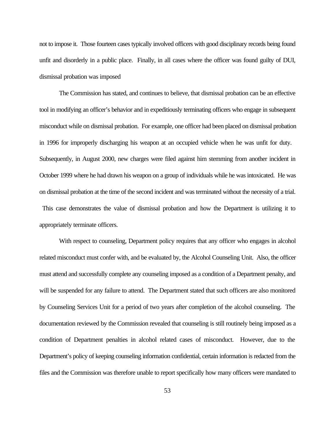not to impose it. Those fourteen cases typically involved officers with good disciplinary records being found unfit and disorderly in a public place. Finally, in all cases where the officer was found guilty of DUI, dismissal probation was imposed

The Commission has stated, and continues to believe, that dismissal probation can be an effective tool in modifying an officer's behavior and in expeditiously terminating officers who engage in subsequent misconduct while on dismissal probation. For example, one officer had been placed on dismissal probation in 1996 for improperly discharging his weapon at an occupied vehicle when he was unfit for duty. Subsequently, in August 2000, new charges were filed against him stemming from another incident in October 1999 where he had drawn his weapon on a group of individuals while he was intoxicated. He was on dismissal probation at the time of the second incident and was terminated without the necessity of a trial. This case demonstrates the value of dismissal probation and how the Department is utilizing it to appropriately terminate officers.

With respect to counseling, Department policy requires that any officer who engages in alcohol related misconduct must confer with, and be evaluated by, the Alcohol Counseling Unit. Also, the officer must attend and successfully complete any counseling imposed as a condition of a Department penalty, and will be suspended for any failure to attend. The Department stated that such officers are also monitored by Counseling Services Unit for a period of two years after completion of the alcohol counseling. The documentation reviewed by the Commission revealed that counseling is still routinely being imposed as a condition of Department penalties in alcohol related cases of misconduct. However, due to the Department's policy of keeping counseling information confidential, certain information is redacted from the files and the Commission was therefore unable to report specifically how many officers were mandated to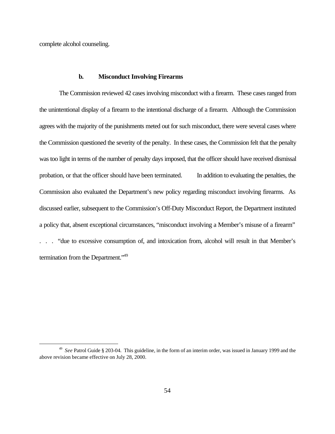complete alcohol counseling.

 $\overline{a}$ 

### **b. Misconduct Involving Firearms**

The Commission reviewed 42 cases involving misconduct with a firearm. These cases ranged from the unintentional display of a firearm to the intentional discharge of a firearm. Although the Commission agrees with the majority of the punishments meted out for such misconduct, there were several cases where the Commission questioned the severity of the penalty. In these cases, the Commission felt that the penalty was too light in terms of the number of penalty days imposed, that the officer should have received dismissal probation, or that the officer should have been terminated. In addition to evaluating the penalties, the Commission also evaluated the Department's new policy regarding misconduct involving firearms. As discussed earlier, subsequent to the Commission's Off-Duty Misconduct Report, the Department instituted a policy that, absent exceptional circumstances, "misconduct involving a Member's misuse of a firearm" . . . "due to excessive consumption of, and intoxication from, alcohol will result in that Member's termination from the Department."<sup>49</sup>

<sup>49</sup> *See* Patrol Guide § 203-04. This guideline, in the form of an interim order, was issued in January 1999 and the above revision became effective on July 28, 2000.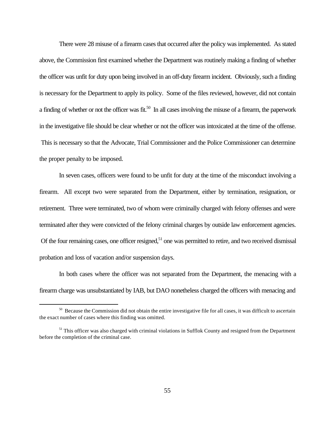There were 28 misuse of a firearm cases that occurred after the policy was implemented. As stated above, the Commission first examined whether the Department was routinely making a finding of whether the officer was unfit for duty upon being involved in an off-duty firearm incident. Obviously, such a finding is necessary for the Department to apply its policy. Some of the files reviewed, however, did not contain a finding of whether or not the officer was fit.<sup>50</sup> In all cases involving the misuse of a firearm, the paperwork in the investigative file should be clear whether or not the officer was intoxicated at the time of the offense. This is necessary so that the Advocate, Trial Commissioner and the Police Commissioner can determine the proper penalty to be imposed.

In seven cases, officers were found to be unfit for duty at the time of the misconduct involving a firearm. All except two were separated from the Department, either by termination, resignation, or retirement. Three were terminated, two of whom were criminally charged with felony offenses and were terminated after they were convicted of the felony criminal charges by outside law enforcement agencies. Of the four remaining cases, one officer resigned, $51$  one was permitted to retire, and two received dismissal probation and loss of vacation and/or suspension days.

In both cases where the officer was not separated from the Department, the menacing with a firearm charge was unsubstantiated by IAB, but DAO nonetheless charged the officers with menacing and

<sup>&</sup>lt;sup>50</sup> Because the Commission did not obtain the entire investigative file for all cases, it was difficult to ascertain the exact number of cases where this finding was omitted.

 $<sup>51</sup>$  This officer was also charged with criminal violations in Sufflok County and resigned from the Department</sup> before the completion of the criminal case.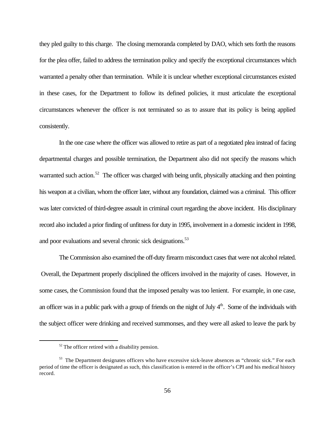they pled guilty to this charge. The closing memoranda completed by DAO, which sets forth the reasons for the plea offer, failed to address the termination policy and specify the exceptional circumstances which warranted a penalty other than termination. While it is unclear whether exceptional circumstances existed in these cases, for the Department to follow its defined policies, it must articulate the exceptional circumstances whenever the officer is not terminated so as to assure that its policy is being applied consistently.

In the one case where the officer was allowed to retire as part of a negotiated plea instead of facing departmental charges and possible termination, the Department also did not specify the reasons which warranted such action.<sup>52</sup> The officer was charged with being unfit, physically attacking and then pointing his weapon at a civilian, whom the officer later, without any foundation, claimed was a criminal. This officer was later convicted of third-degree assault in criminal court regarding the above incident. His disciplinary record also included a prior finding of unfitness for duty in 1995, involvement in a domestic incident in 1998, and poor evaluations and several chronic sick designations.<sup>53</sup>

The Commission also examined the off-duty firearm misconduct cases that were not alcohol related. Overall, the Department properly disciplined the officers involved in the majority of cases. However, in some cases, the Commission found that the imposed penalty was too lenient. For example, in one case, an officer was in a public park with a group of friends on the night of July  $4<sup>th</sup>$ . Some of the individuals with the subject officer were drinking and received summonses, and they were all asked to leave the park by

 $52$  The officer retired with a disability pension.

<sup>&</sup>lt;sup>53</sup> The Department designates officers who have excessive sick-leave absences as "chronic sick." For each period of time the officer is designated as such, this classification is entered in the officer's CPI and his medical history record.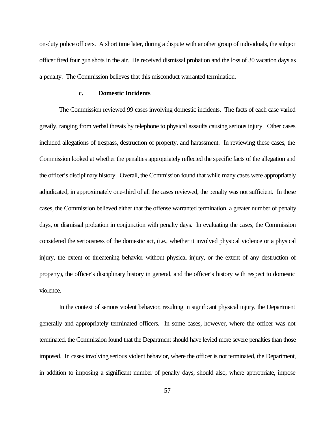on-duty police officers. A short time later, during a dispute with another group of individuals, the subject officer fired four gun shots in the air. He received dismissal probation and the loss of 30 vacation days as a penalty. The Commission believes that this misconduct warranted termination.

## **c. Domestic Incidents**

The Commission reviewed 99 cases involving domestic incidents. The facts of each case varied greatly, ranging from verbal threats by telephone to physical assaults causing serious injury. Other cases included allegations of trespass, destruction of property, and harassment. In reviewing these cases, the Commission looked at whether the penalties appropriately reflected the specific facts of the allegation and the officer's disciplinary history. Overall, the Commission found that while many cases were appropriately adjudicated, in approximately one-third of all the cases reviewed, the penalty was not sufficient. In these cases, the Commission believed either that the offense warranted termination, a greater number of penalty days, or dismissal probation in conjunction with penalty days. In evaluating the cases, the Commission considered the seriousness of the domestic act, (i.e., whether it involved physical violence or a physical injury, the extent of threatening behavior without physical injury, or the extent of any destruction of property), the officer's disciplinary history in general, and the officer's history with respect to domestic violence.

In the context of serious violent behavior, resulting in significant physical injury, the Department generally and appropriately terminated officers. In some cases, however, where the officer was not terminated, the Commission found that the Department should have levied more severe penalties than those imposed. In cases involving serious violent behavior, where the officer is not terminated, the Department, in addition to imposing a significant number of penalty days, should also, where appropriate, impose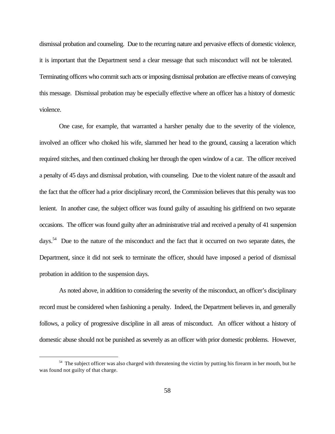dismissal probation and counseling. Due to the recurring nature and pervasive effects of domestic violence, it is important that the Department send a clear message that such misconduct will not be tolerated. Terminating officers who commit such acts or imposing dismissal probation are effective means of conveying this message. Dismissal probation may be especially effective where an officer has a history of domestic violence.

One case, for example, that warranted a harsher penalty due to the severity of the violence, involved an officer who choked his wife, slammed her head to the ground, causing a laceration which required stitches, and then continued choking her through the open window of a car. The officer received a penalty of 45 days and dismissal probation, with counseling. Due to the violent nature of the assault and the fact that the officer had a prior disciplinary record, the Commission believes that this penalty was too lenient. In another case, the subject officer was found guilty of assaulting his girlfriend on two separate occasions. The officer was found guilty after an administrative trial and received a penalty of 41 suspension days.<sup>54</sup> Due to the nature of the misconduct and the fact that it occurred on two separate dates, the Department, since it did not seek to terminate the officer, should have imposed a period of dismissal probation in addition to the suspension days.

As noted above, in addition to considering the severity of the misconduct, an officer's disciplinary record must be considered when fashioning a penalty. Indeed, the Department believes in, and generally follows, a policy of progressive discipline in all areas of misconduct. An officer without a history of domestic abuse should not be punished as severely as an officer with prior domestic problems. However,

<sup>&</sup>lt;sup>54</sup> The subject officer was also charged with threatening the victim by putting his firearm in her mouth, but he was found not guilty of that charge.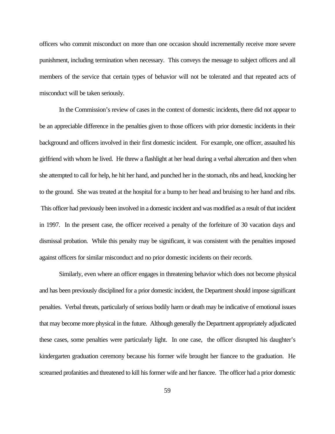officers who commit misconduct on more than one occasion should incrementally receive more severe punishment, including termination when necessary. This conveys the message to subject officers and all members of the service that certain types of behavior will not be tolerated and that repeated acts of misconduct will be taken seriously.

In the Commission's review of cases in the context of domestic incidents, there did not appear to be an appreciable difference in the penalties given to those officers with prior domestic incidents in their background and officers involved in their first domestic incident. For example, one officer, assaulted his girlfriend with whom he lived. He threw a flashlight at her head during a verbal altercation and then when she attempted to call for help, he hit her hand, and punched her in the stomach, ribs and head, knocking her to the ground. She was treated at the hospital for a bump to her head and bruising to her hand and ribs. This officer had previously been involved in a domestic incident and was modified as a result of that incident in 1997. In the present case, the officer received a penalty of the forfeiture of 30 vacation days and dismissal probation. While this penalty may be significant, it was consistent with the penalties imposed against officers for similar misconduct and no prior domestic incidents on their records.

Similarly, even where an officer engages in threatening behavior which does not become physical and has been previously disciplined for a prior domestic incident, the Department should impose significant penalties. Verbal threats, particularly of serious bodily harm or death may be indicative of emotional issues that may become more physical in the future. Although generally the Department appropriately adjudicated these cases, some penalties were particularly light. In one case, the officer disrupted his daughter's kindergarten graduation ceremony because his former wife brought her fiancee to the graduation. He screamed profanities and threatened to kill his former wife and her fiancee. The officer had a prior domestic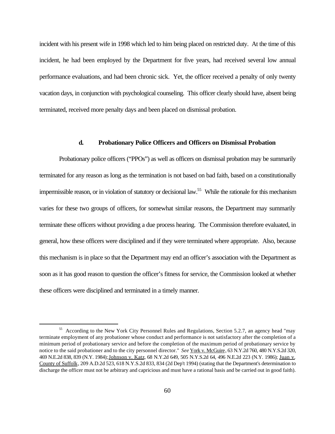incident with his present wife in 1998 which led to him being placed on restricted duty. At the time of this incident, he had been employed by the Department for five years, had received several low annual performance evaluations, and had been chronic sick. Yet, the officer received a penalty of only twenty vacation days, in conjunction with psychological counseling. This officer clearly should have, absent being terminated, received more penalty days and been placed on dismissal probation.

## **d. Probationary Police Officers and Officers on Dismissal Probation**

Probationary police officers ("PPOs") as well as officers on dismissal probation may be summarily terminated for any reason as long as the termination is not based on bad faith, based on a constitutionally impermissible reason, or in violation of statutory or decisional law.<sup>55</sup> While the rationale for this mechanism varies for these two groups of officers, for somewhat similar reasons, the Department may summarily terminate these officers without providing a due process hearing. The Commission therefore evaluated, in general, how these officers were disciplined and if they were terminated where appropriate. Also, because this mechanism is in place so that the Department may end an officer's association with the Department as soon as it has good reason to question the officer's fitness for service, the Commission looked at whether these officers were disciplined and terminated in a timely manner.

<sup>55</sup> According to the New York City Personnel Rules and Regulations, Section 5.2.7, an agency head "may terminate employment of any probationer whose conduct and performance is not satisfactory after the completion of a minimum period of probationary service and before the completion of the maximum period of probationary service by notice to the said probationer and to the city personnel director." *See* York v. McGuire, 63 N.Y.2d 760, 480 N.Y.S.2d 320, 469 N.E.2d 838, 839 (N.Y. 1984); Johnson v. Katz, 68 N.Y.2d 649, 505 N.Y.S.2d 64, 496 N.E.2d 223 (N.Y. 1986); Juan v. County of Suffolk, 209 A.D.2d 523, 618 N.Y.S.2d 833, 834 (2d Dep't 1994) (stating that the Department's determination to discharge the officer must not be arbitrary and capricious and must have a rational basis and be carried out in good faith).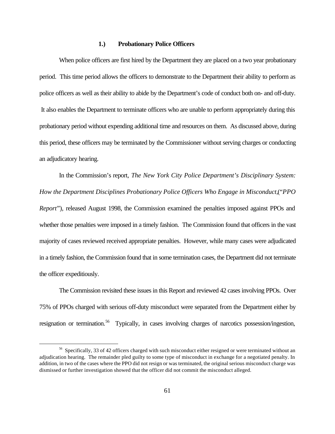### **1.) Probationary Police Officers**

When police officers are first hired by the Department they are placed on a two year probationary period. This time period allows the officers to demonstrate to the Department their ability to perform as police officers as well as their ability to abide by the Department's code of conduct both on- and off-duty. It also enables the Department to terminate officers who are unable to perform appropriately during this probationary period without expending additional time and resources on them. As discussed above, during this period, these officers may be terminated by the Commissioner without serving charges or conducting an adjudicatory hearing.

In the Commission's report, *The New York City Police Department's Disciplinary System: How the Department Disciplines Probationary Police Officers Who Engage in Misconduct,*("*PPO Report*")*,* released August 1998, the Commission examined the penalties imposed against PPOs and whether those penalties were imposed in a timely fashion. The Commission found that officers in the vast majority of cases reviewed received appropriate penalties. However, while many cases were adjudicated in a timely fashion, the Commission found that in some termination cases, the Department did not terminate the officer expeditiously.

The Commission revisited these issues in this Report and reviewed 42 cases involving PPOs. Over 75% of PPOs charged with serious off-duty misconduct were separated from the Department either by resignation or termination.<sup>56</sup> Typically, in cases involving charges of narcotics possession/ingestion,

<sup>&</sup>lt;sup>56</sup> Specifically, 33 of 42 officers charged with such misconduct either resigned or were terminated without an adjudication hearing. The remainder pled guilty to some type of misconduct in exchange for a negotiated penalty. In addition, in two of the cases where the PPO did not resign or was terminated, the original serious misconduct charge was dismissed or further investigation showed that the officer did not commit the misconduct alleged.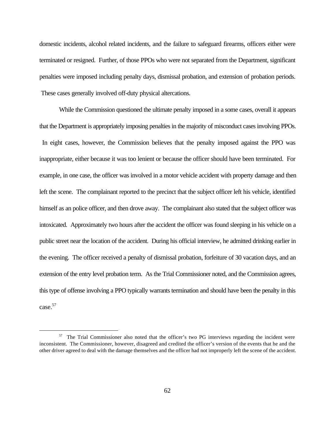domestic incidents, alcohol related incidents, and the failure to safeguard firearms, officers either were terminated or resigned. Further, of those PPOs who were not separated from the Department, significant penalties were imposed including penalty days, dismissal probation, and extension of probation periods. These cases generally involved off-duty physical altercations.

While the Commission questioned the ultimate penalty imposed in a some cases, overall it appears that the Department is appropriately imposing penalties in the majority of misconduct cases involving PPOs. In eight cases, however, the Commission believes that the penalty imposed against the PPO was inappropriate, either because it was too lenient or because the officer should have been terminated. For example, in one case, the officer was involved in a motor vehicle accident with property damage and then left the scene. The complainant reported to the precinct that the subject officer left his vehicle, identified himself as an police officer, and then drove away. The complainant also stated that the subject officer was intoxicated. Approximately two hours after the accident the officer was found sleeping in his vehicle on a public street near the location of the accident. During his official interview, he admitted drinking earlier in the evening. The officer received a penalty of dismissal probation, forfeiture of 30 vacation days, and an extension of the entry level probation term. As the Trial Commissioner noted, and the Commission agrees, this type of offense involving a PPO typically warrants termination and should have been the penalty in this case.<sup>57</sup>

<sup>&</sup>lt;sup>57</sup> The Trial Commissioner also noted that the officer's two PG interviews regarding the incident were inconsistent. The Commissioner, however, disagreed and credited the officer's version of the events that he and the other driver agreed to deal with the damage themselves and the officer had not improperly left the scene of the accident.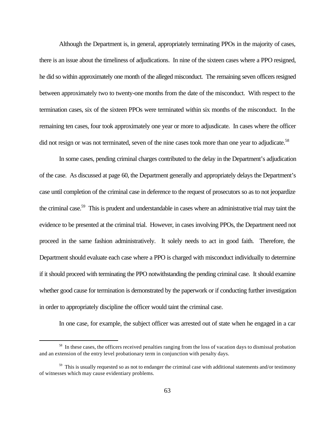Although the Department is, in general, appropriately terminating PPOs in the majority of cases, there is an issue about the timeliness of adjudications. In nine of the sixteen cases where a PPO resigned, he did so within approximately one month of the alleged misconduct. The remaining seven officers resigned between approximately two to twenty-one months from the date of the misconduct. With respect to the termination cases, six of the sixteen PPOs were terminated within six months of the misconduct. In the remaining ten cases, four took approximately one year or more to adjusdicate. In cases where the officer did not resign or was not terminated, seven of the nine cases took more than one year to adjudicate.<sup>58</sup>

In some cases, pending criminal charges contributed to the delay in the Department's adjudication of the case. As discussed at page 60, the Department generally and appropriately delays the Department's case until completion of the criminal case in deference to the request of prosecutors so as to not jeopardize the criminal case.<sup>59</sup> This is prudent and understandable in cases where an administrative trial may taint the evidence to be presented at the criminal trial. However, in cases involving PPOs, the Department need not proceed in the same fashion administratively. It solely needs to act in good faith. Therefore, the Department should evaluate each case where a PPO is charged with misconduct individually to determine if it should proceed with terminating the PPO notwithstanding the pending criminal case. It should examine whether good cause for termination is demonstrated by the paperwork or if conducting further investigation in order to appropriately discipline the officer would taint the criminal case.

In one case, for example, the subject officer was arrested out of state when he engaged in a car

<sup>&</sup>lt;sup>58</sup> In these cases, the officers received penalties ranging from the loss of vacation days to dismissal probation and an extension of the entry level probationary term in conjunction with penalty days.

<sup>&</sup>lt;sup>59</sup> This is usually requested so as not to endanger the criminal case with additional statements and/or testimony of witnesses which may cause evidentiary problems.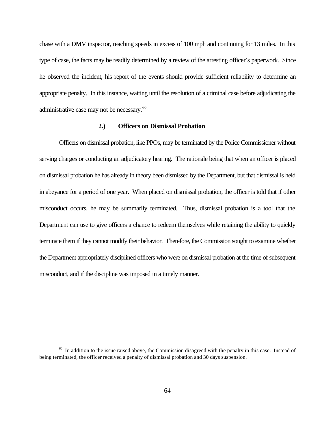chase with a DMV inspector, reaching speeds in excess of 100 mph and continuing for 13 miles. In this type of case, the facts may be readily determined by a review of the arresting officer's paperwork. Since he observed the incident, his report of the events should provide sufficient reliability to determine an appropriate penalty. In this instance, waiting until the resolution of a criminal case before adjudicating the administrative case may not be necessary.<sup>60</sup>

### **2.) Officers on Dismissal Probation**

Officers on dismissal probation, like PPOs, may be terminated by the Police Commissioner without serving charges or conducting an adjudicatory hearing. The rationale being that when an officer is placed on dismissal probation he has already in theory been dismissed by the Department, but that dismissal is held in abeyance for a period of one year. When placed on dismissal probation, the officer is told that if other misconduct occurs, he may be summarily terminated. Thus, dismissal probation is a tool that the Department can use to give officers a chance to redeem themselves while retaining the ability to quickly terminate them if they cannot modify their behavior. Therefore, the Commission sought to examine whether the Department appropriately disciplined officers who were on dismissal probation at the time of subsequent misconduct, and if the discipline was imposed in a timely manner.

 $60$  In addition to the issue raised above, the Commission disagreed with the penalty in this case. Instead of being terminated, the officer received a penalty of dismissal probation and 30 days suspension.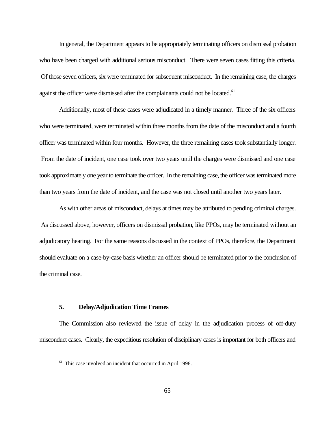In general, the Department appears to be appropriately terminating officers on dismissal probation who have been charged with additional serious misconduct. There were seven cases fitting this criteria. Of those seven officers, six were terminated for subsequent misconduct. In the remaining case, the charges against the officer were dismissed after the complainants could not be located.<sup>61</sup>

Additionally, most of these cases were adjudicated in a timely manner. Three of the six officers who were terminated, were terminated within three months from the date of the misconduct and a fourth officer was terminated within four months. However, the three remaining cases took substantially longer. From the date of incident, one case took over two years until the charges were dismissed and one case took approximately one year to terminate the officer. In the remaining case, the officer was terminated more than two years from the date of incident, and the case was not closed until another two years later.

As with other areas of misconduct, delays at times may be attributed to pending criminal charges. As discussed above, however, officers on dismissal probation, like PPOs, may be terminated without an adjudicatory hearing. For the same reasons discussed in the context of PPOs, therefore, the Department should evaluate on a case-by-case basis whether an officer should be terminated prior to the conclusion of the criminal case.

# **5. Delay/Adjudication Time Frames**

 $\overline{a}$ 

The Commission also reviewed the issue of delay in the adjudication process of off-duty misconduct cases. Clearly, the expeditious resolution of disciplinary cases is important for both officers and

<sup>&</sup>lt;sup>61</sup> This case involved an incident that occurred in April 1998.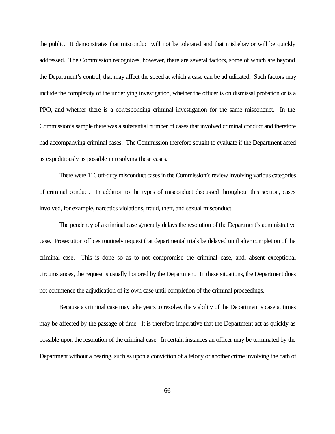the public. It demonstrates that misconduct will not be tolerated and that misbehavior will be quickly addressed. The Commission recognizes, however, there are several factors, some of which are beyond the Department's control, that may affect the speed at which a case can be adjudicated. Such factors may include the complexity of the underlying investigation, whether the officer is on dismissal probation or is a PPO, and whether there is a corresponding criminal investigation for the same misconduct. In the Commission's sample there was a substantial number of cases that involved criminal conduct and therefore had accompanying criminal cases. The Commission therefore sought to evaluate if the Department acted as expeditiously as possible in resolving these cases.

There were 116 off-duty misconduct cases in the Commission's review involving various categories of criminal conduct. In addition to the types of misconduct discussed throughout this section, cases involved, for example, narcotics violations, fraud, theft, and sexual misconduct.

The pendency of a criminal case generally delays the resolution of the Department's administrative case. Prosecution offices routinely request that departmental trials be delayed until after completion of the criminal case. This is done so as to not compromise the criminal case, and, absent exceptional circumstances, the request is usually honored by the Department. In these situations, the Department does not commence the adjudication of its own case until completion of the criminal proceedings.

Because a criminal case may take years to resolve, the viability of the Department's case at times may be affected by the passage of time. It is therefore imperative that the Department act as quickly as possible upon the resolution of the criminal case. In certain instances an officer may be terminated by the Department without a hearing, such as upon a conviction of a felony or another crime involving the oath of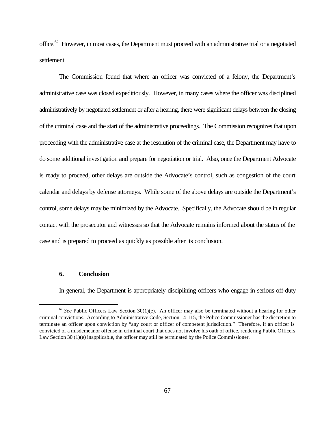office.<sup>62</sup> However, in most cases, the Department must proceed with an administrative trial or a negotiated settlement.

The Commission found that where an officer was convicted of a felony, the Department's administrative case was closed expeditiously. However, in many cases where the officer was disciplined administratively by negotiated settlement or after a hearing, there were significant delays between the closing of the criminal case and the start of the administrative proceedings. The Commission recognizes that upon proceeding with the administrative case at the resolution of the criminal case, the Department may have to do some additional investigation and prepare for negotiation or trial. Also, once the Department Advocate is ready to proceed, other delays are outside the Advocate's control, such as congestion of the court calendar and delays by defense attorneys. While some of the above delays are outside the Department's control, some delays may be minimized by the Advocate. Specifically, the Advocate should be in regular contact with the prosecutor and witnesses so that the Advocate remains informed about the status of the case and is prepared to proceed as quickly as possible after its conclusion.

### **6. Conclusion**

 $\overline{a}$ 

In general, the Department is appropriately disciplining officers who engage in serious off-duty

 $62$  *See* Public Officers Law Section 30(1)(e). An officer may also be terminated without a hearing for other criminal convictions. According to Administrative Code, Section 14-115, the Police Commissioner has the discretion to terminate an officer upon conviction by "any court or officer of competent jurisdiction." Therefore, if an officer is convicted of a misdemeanor offense in criminal court that does not involve his oath of office, rendering Public Officers Law Section 30 (1)(e) inapplicable, the officer may still be terminated by the Police Commissioner.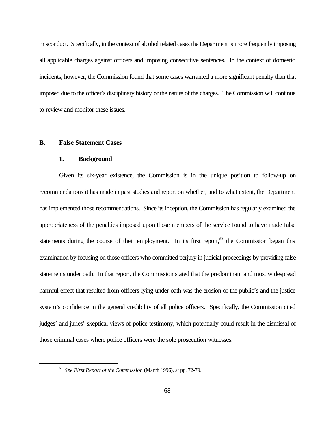misconduct. Specifically, in the context of alcohol related cases the Department is more frequently imposing all applicable charges against officers and imposing consecutive sentences. In the context of domestic incidents, however, the Commission found that some cases warranted a more significant penalty than that imposed due to the officer's disciplinary history or the nature of the charges. The Commission will continue to review and monitor these issues.

# **B. False Statement Cases**

 $\overline{a}$ 

#### **1. Background**

Given its six-year existence, the Commission is in the unique position to follow-up on recommendations it has made in past studies and report on whether, and to what extent, the Department has implemented those recommendations. Since its inception, the Commission has regularly examined the appropriateness of the penalties imposed upon those members of the service found to have made false statements during the course of their employment. In its first report,<sup>63</sup> the Commission began this examination by focusing on those officers who committed perjury in judicial proceedings by providing false statements under oath. In that report, the Commission stated that the predominant and most widespread harmful effect that resulted from officers lying under oath was the erosion of the public's and the justice system's confidence in the general credibility of all police officers. Specifically, the Commission cited judges' and juries' skeptical views of police testimony, which potentially could result in the dismissal of those criminal cases where police officers were the sole prosecution witnesses.

<sup>63</sup> *See First Report of the Commission* (March 1996), at pp. 72-79.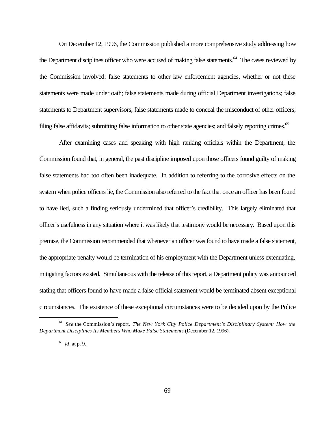On December 12, 1996, the Commission published a more comprehensive study addressing how the Department disciplines officer who were accused of making false statements.<sup>64</sup> The cases reviewed by the Commission involved: false statements to other law enforcement agencies, whether or not these statements were made under oath; false statements made during official Department investigations; false statements to Department supervisors; false statements made to conceal the misconduct of other officers; filing false affidavits; submitting false information to other state agencies; and falsely reporting crimes.<sup>65</sup>

After examining cases and speaking with high ranking officials within the Department, the Commission found that, in general, the past discipline imposed upon those officers found guilty of making false statements had too often been inadequate. In addition to referring to the corrosive effects on the system when police officers lie, the Commission also referred to the fact that once an officer has been found to have lied, such a finding seriously undermined that officer's credibility. This largely eliminated that officer's usefulness in any situation where it was likely that testimony would be necessary. Based upon this premise, the Commission recommended that whenever an officer was found to have made a false statement, the appropriate penalty would be termination of his employment with the Department unless extenuating, mitigating factors existed. Simultaneous with the release of this report, a Department policy was announced stating that officers found to have made a false official statement would be terminated absent exceptional circumstances. The existence of these exceptional circumstances were to be decided upon by the Police

<sup>64</sup> *See* the Commission's report, *The New York City Police Department's Disciplinary System: How the Department Disciplines Its Members Who Make False Statements* (December 12, 1996).

<sup>65</sup> *Id*. at p. 9.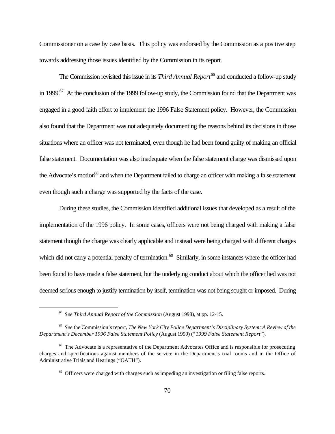Commissioner on a case by case basis. This policy was endorsed by the Commission as a positive step towards addressing those issues identified by the Commission in its report.

The Commission revisited this issue in its *Third Annual Report*<sup>66</sup> and conducted a follow-up study in 1999.<sup>67</sup> At the conclusion of the 1999 follow-up study, the Commission found that the Department was engaged in a good faith effort to implement the 1996 False Statement policy. However, the Commission also found that the Department was not adequately documenting the reasons behind its decisions in those situations where an officer was not terminated, even though he had been found guilty of making an official false statement. Documentation was also inadequate when the false statement charge was dismissed upon the Advocate's motion<sup>68</sup> and when the Department failed to charge an officer with making a false statement even though such a charge was supported by the facts of the case.

During these studies, the Commission identified additional issues that developed as a result of the implementation of the 1996 policy. In some cases, officers were not being charged with making a false statement though the charge was clearly applicable and instead were being charged with different charges which did not carry a potential penalty of termination.<sup>69</sup> Similarly, in some instances where the officer had been found to have made a false statement, but the underlying conduct about which the officer lied was not deemed serious enough to justify termination by itself, termination was not being sought or imposed. During

<sup>66</sup> *See Third Annual Report of the Commission* (August 1998), at pp. 12-15.

<sup>67</sup> *See* the Commission's report, *The New York City Police Department's Disciplinary System: A Review of the Department's December 1996 False Statement Policy* (August 1999) ("*1999 False Statement Report*").

 $68$  The Advocate is a representative of the Department Advocates Office and is responsible for prosecuting charges and specifications against members of the service in the Department's trial rooms and in the Office of Administrative Trials and Hearings ("OATH").

 $69$  Officers were charged with charges such as impeding an investigation or filing false reports.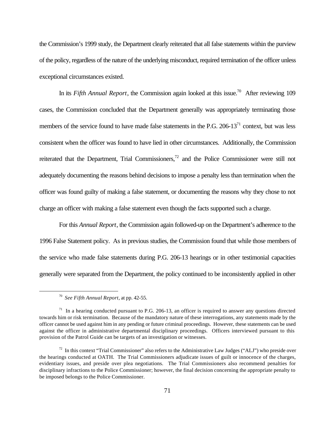the Commission's 1999 study, the Department clearly reiterated that all false statements within the purview of the policy, regardless of the nature of the underlying misconduct, required termination of the officer unless exceptional circumstances existed.

In its *Fifth Annual Report*, the Commission again looked at this issue.<sup>70</sup> After reviewing 109 cases, the Commission concluded that the Department generally was appropriately terminating those members of the service found to have made false statements in the P.G.  $206-13<sup>71</sup>$  context, but was less consistent when the officer was found to have lied in other circumstances. Additionally, the Commission reiterated that the Department, Trial Commissioners,<sup>72</sup> and the Police Commissioner were still not adequately documenting the reasons behind decisions to impose a penalty less than termination when the officer was found guilty of making a false statement, or documenting the reasons why they chose to not charge an officer with making a false statement even though the facts supported such a charge.

For this *Annual Report*, the Commission again followed-up on the Department's adherence to the 1996 False Statement policy. As in previous studies, the Commission found that while those members of the service who made false statements during P.G. 206-13 hearings or in other testimonial capacities generally were separated from the Department, the policy continued to be inconsistently applied in other

<sup>70</sup> *See Fifth Annual Report*, at pp. 42-55.

 $71$  In a hearing conducted pursuant to P.G. 206-13, an officer is required to answer any questions directed towards him or risk termination. Because of the mandatory nature of these interrogations, any statements made by the officer cannot be used against him in any pending or future criminal proceedings. However, these statements can be used against the officer in administrative departmental disciplinary proceedings. Officers interviewed pursuant to this provision of the Patrol Guide can be targets of an investigation or witnesses.

<sup>72</sup> In this context "Trial Commissioner" also refers to the Administrative Law Judges ("ALJ") who preside over the hearings conducted at OATH. The Trial Commissioners adjudicate issues of guilt or innocence of the charges, evidentiary issues, and preside over plea negotiations. The Trial Commissioners also recommend penalties for disciplinary infractions to the Police Commissioner; however, the final decision concerning the appropriate penalty to be imposed belongs to the Police Commissioner.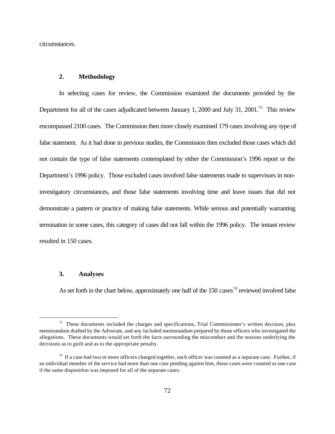circumstances.

# **2. Methodology**

In selecting cases for review, the Commission examined the documents provided by the Department for all of the cases adjudicated between January 1, 2000 and July 31, 2001.<sup>73</sup> This review encompassed 2100 cases. The Commission then more closely examined 179 cases involving any type of false statement. As it had done in previous studies, the Commission then excluded those cases which did not contain the type of false statements contemplated by either the Commission's 1996 report or the Department's 1996 policy. Those excluded cases involved false statements made to supervisors in noninvestigatory circumstances, and those false statements involving time and leave issues that did not demonstrate a pattern or practice of making false statements. While serious and potentially warranting termination in some cases, this category of cases did not fall within the 1996 policy. The instant review resulted in 150 cases.

## **3. Analyses**

 $\overline{a}$ 

As set forth in the chart below, approximately one half of the 150 cases<sup>74</sup> reviewed involved false

<sup>&</sup>lt;sup>73</sup> These documents included the charges and specifications, Trial Commissioner's written decision, plea memorandum drafted by the Advocate, and any included memorandum prepared by those officers who investigated the allegations. These documents would set forth the facts surrounding the misconduct and the reasons underlying the decisions as to guilt and as to the appropriate penalty.

 $^{74}$  If a case had two or more officers charged together, each officer was counted as a separate case. Further, if an individual member of the service had more than one case pending against him, those cases were counted as one case if the same disposition was imposed for all of the separate cases.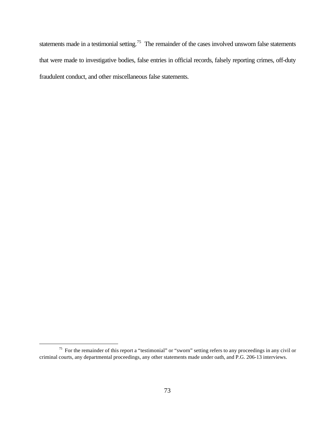statements made in a testimonial setting.<sup>75</sup> The remainder of the cases involved unsworn false statements that were made to investigative bodies, false entries in official records, falsely reporting crimes, off-duty fraudulent conduct, and other miscellaneous false statements.

<sup>&</sup>lt;sup>75</sup> For the remainder of this report a "testimonial" or "sworn" setting refers to any proceedings in any civil or criminal courts, any departmental proceedings, any other statements made under oath, and P.G. 206-13 interviews.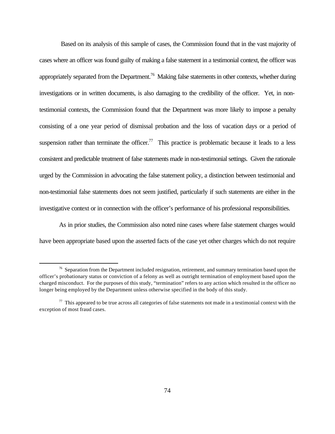Based on its analysis of this sample of cases, the Commission found that in the vast majority of cases where an officer was found guilty of making a false statement in a testimonial context, the officer was appropriately separated from the Department.<sup>76</sup> Making false statements in other contexts, whether during investigations or in written documents, is also damaging to the credibility of the officer. Yet, in nontestimonial contexts, the Commission found that the Department was more likely to impose a penalty consisting of a one year period of dismissal probation and the loss of vacation days or a period of suspension rather than terminate the officer.<sup>77</sup> This practice is problematic because it leads to a less consistent and predictable treatment of false statements made in non-testimonial settings. Given the rationale urged by the Commission in advocating the false statement policy, a distinction between testimonial and non-testimonial false statements does not seem justified, particularly if such statements are either in the investigative context or in connection with the officer's performance of his professional responsibilities.

As in prior studies, the Commission also noted nine cases where false statement charges would have been appropriate based upon the asserted facts of the case yet other charges which do not require

 $76$  Separation from the Department included resignation, retirement, and summary termination based upon the officer's probationary status or conviction of a felony as well as outright termination of employment based upon the charged misconduct. For the purposes of this study, "termination" refers to any action which resulted in the officer no longer being employed by the Department unless otherwise specified in the body of this study.

 $77$  This appeared to be true across all categories of false statements not made in a testimonial context with the exception of most fraud cases.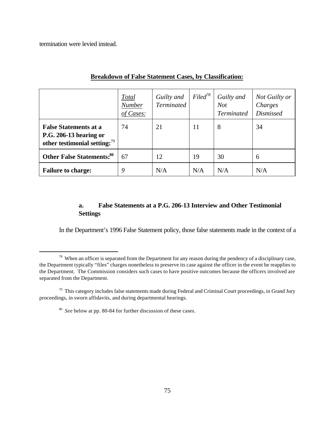termination were levied instead.

 $\overline{a}$ 

|                                                                                              | <b>Total</b><br><b>Number</b><br>of Cases: | Guilty and<br><b>Terminated</b> | $Filed^{78}$ | Guilty and<br>Not<br><b>Terminated</b> | Not Guilty or<br>Charges<br><b>Dismissed</b> |
|----------------------------------------------------------------------------------------------|--------------------------------------------|---------------------------------|--------------|----------------------------------------|----------------------------------------------|
| <b>False Statements at a</b><br>P.G. 206-13 hearing or<br>other testimonial setting: $^{79}$ | 74                                         | 21                              | 11           | 8                                      | 34                                           |
| <b>Other False Statements:</b> <sup>80</sup>                                                 | 67                                         | 12                              | 19           | 30                                     | 6                                            |
| <b>Failure to charge:</b>                                                                    | 9                                          | N/A                             | N/A          | N/A                                    | N/A                                          |

# **Breakdown of False Statement Cases, by Classification:**

# **a. False Statements at a P.G. 206-13 Interview and Other Testimonial Settings**

In the Department's 1996 False Statement policy, those false statements made in the context of a

<sup>&</sup>lt;sup>78</sup> When an officer is separated from the Department for any reason during the pendency of a disciplinary case, the Department typically "files" charges nonetheless to preserve its case against the officer in the event he reapplies to the Department. The Commission considers such cases to have positive outcomes because the officers involved are separated from the Department.

 $79$  This category includes false statements made during Federal and Criminal Court proceedings, in Grand Jury proceedings, in sworn affidavits, and during departmental hearings.

<sup>80</sup> *See* below at pp. 80-84 for further discussion of these cases.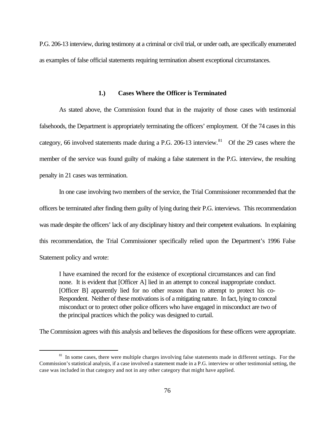P.G. 206-13 interview, during testimony at a criminal or civil trial, or under oath, are specifically enumerated as examples of false official statements requiring termination absent exceptional circumstances.

### **1.) Cases Where the Officer is Terminated**

As stated above, the Commission found that in the majority of those cases with testimonial falsehoods, the Department is appropriately terminating the officers' employment. Of the 74 cases in this category, 66 involved statements made during a P.G. 206-13 interview.<sup>81</sup> Of the 29 cases where the member of the service was found guilty of making a false statement in the P.G. interview, the resulting penalty in 21 cases was termination.

In one case involving two members of the service, the Trial Commissioner recommended that the officers be terminated after finding them guilty of lying during their P.G. interviews. This recommendation was made despite the officers' lack of any disciplinary history and their competent evaluations. In explaining this recommendation, the Trial Commissioner specifically relied upon the Department's 1996 False Statement policy and wrote:

I have examined the record for the existence of exceptional circumstances and can find none. It is evident that [Officer A] lied in an attempt to conceal inappropriate conduct. [Officer B] apparently lied for no other reason than to attempt to protect his co-Respondent. Neither of these motivations is of a mitigating nature. In fact, lying to conceal misconduct or to protect other police officers who have engaged in misconduct are two of the principal practices which the policy was designed to curtail.

The Commission agrees with this analysis and believes the dispositions for these officers were appropriate.

<sup>&</sup>lt;sup>81</sup> In some cases, there were multiple charges involving false statements made in different settings. For the Commission's statistical analysis, if a case involved a statement made in a P.G. interview or other testimonial setting, the case was included in that category and not in any other category that might have applied.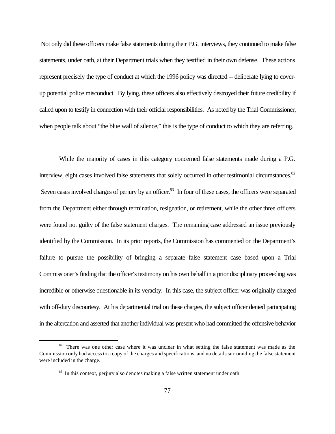Not only did these officers make false statements during their P.G. interviews, they continued to make false statements, under oath, at their Department trials when they testified in their own defense. These actions represent precisely the type of conduct at which the 1996 policy was directed -- deliberate lying to coverup potential police misconduct. By lying, these officers also effectively destroyed their future credibility if called upon to testify in connection with their official responsibilities. As noted by the Trial Commissioner, when people talk about "the blue wall of silence," this is the type of conduct to which they are referring.

While the majority of cases in this category concerned false statements made during a P.G. interview, eight cases involved false statements that solely occurred in other testimonial circumstances.<sup>82</sup> Seven cases involved charges of perjury by an officer.<sup>83</sup> In four of these cases, the officers were separated from the Department either through termination, resignation, or retirement, while the other three officers were found not guilty of the false statement charges. The remaining case addressed an issue previously identified by the Commission. In its prior reports, the Commission has commented on the Department's failure to pursue the possibility of bringing a separate false statement case based upon a Trial Commissioner's finding that the officer's testimony on his own behalf in a prior disciplinary proceeding was incredible or otherwise questionable in its veracity. In this case, the subject officer was originally charged with off-duty discourtesy. At his departmental trial on these charges, the subject officer denied participating in the altercation and asserted that another individual was present who had committed the offensive behavior

<sup>&</sup>lt;sup>82</sup> There was one other case where it was unclear in what setting the false statement was made as the Commission only had access to a copy of the charges and specifications, and no details surrounding the false statement were included in the charge.

<sup>&</sup>lt;sup>83</sup> In this context, perjury also denotes making a false written statement under oath.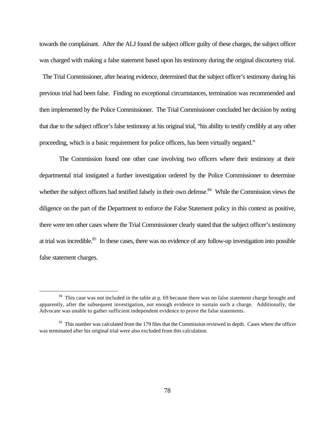towards the complainant. After the ALJ found the subject officer guilty of these charges, the subject officer was charged with making a false statement based upon his testimony during the original discourtesy trial.

 The Trial Commissioner, after hearing evidence, determined that the subject officer's testimony during his previous trial had been false. Finding no exceptional circumstances, termination was recommended and then implemented by the Police Commissioner. The Trial Commissioner concluded her decision by noting that due to the subject officer's false testimony at his original trial, "his ability to testify credibly at any other proceeding, which is a basic requirement for police officers, has been virtually negated."

The Commission found one other case involving two officers where their testimony at their departmental trial instigated a further investigation ordered by the Police Commissioner to determine whether the subject officers had testified falsely in their own defense.<sup>84</sup> While the Commission views the diligence on the part of the Department to enforce the False Statement policy in this context as positive, there were ten other cases where the Trial Commissioner clearly stated that the subject officer's testimony at trial was incredible.<sup>85</sup> In these cases, there was no evidence of any follow-up investigation into possible false statement charges.

<sup>&</sup>lt;sup>84</sup> This case was not included in the table at p. 69 because there was no false statement charge brought and apparently, after the subsequent investigation, not enough evidence to sustain such a charge. Additionally, the Advocate was unable to gather sufficient independent evidence to prove the false statements.

<sup>&</sup>lt;sup>85</sup> This number was calculated from the 179 files that the Commission reviewed in depth. Cases where the officer was terminated after his original trial were also excluded from this calculation.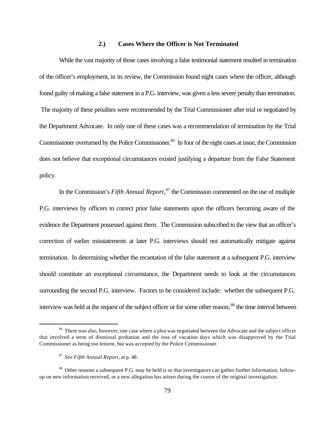#### **2.) Cases Where the Officer is Not Terminated**

While the vast majority of those cases involving a false testimonial statement resulted in termination of the officer's employment, in its review, the Commission found eight cases where the officer, although found guilty of making a false statement in a P.G. interview, was given a less severe penalty than termination. The majority of these penalties were recommended by the Trial Commissioner after trial or negotiated by the Department Advocate. In only one of these cases was a recommendation of termination by the Trial Commissioner overturned by the Police Commissioner.<sup>86</sup> In four of the eight cases at issue, the Commission does not believe that exceptional circumstances existed justifying a departure from the False Statement policy.

In the Commission's *Fifth Annual Report*, <sup>87</sup> the Commission commented on the use of multiple P.G. interviews by officers to correct prior false statements upon the officers becoming aware of the evidence the Department possessed against them. The Commission subscribed to the view that an officer's correction of earlier misstatements at later P.G. interviews should not automatically mitigate against termination. In determining whether the recantation of the false statement at a subsequent P.G. interview should constitute an exceptional circumstance, the Department needs to look at the circumstances surrounding the second P.G. interview. Factors to be considered include: whether the subsequent P.G. interview was held at the request of the subject officer or for some other reason;<sup>88</sup> the time interval between

<sup>&</sup>lt;sup>86</sup> There was also, however, one case where a plea was negotiated between the Advocate and the subject officer that involved a term of dismissal probation and the loss of vacation days which was disapproved by the Trial Commissioner as being too lenient, but was accepted by the Police Commissioner.

<sup>87</sup> *See Fifth Annual Report*, at p. 48.

<sup>88</sup> Other reasons a subsequent P.G. may be held is so that investigators can gather further information, followup on new information received, or a new allegation has arisen during the course of the original investigation.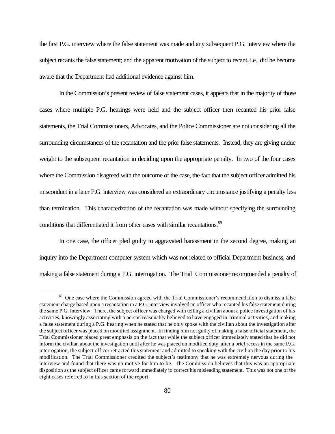the first P.G. interview where the false statement was made and any subsequent P.G. interview where the subject recants the false statement; and the apparent motivation of the subject to recant, i.e., did he become aware that the Department had additional evidence against him.

In the Commission's present review of false statement cases, it appears that in the majority of those cases where multiple P.G. hearings were held and the subject officer then recanted his prior false statements, the Trial Commissioners, Advocates, and the Police Commissioner are not considering all the surrounding circumstances of the recantation and the prior false statements. Instead, they are giving undue weight to the subsequent recantation in deciding upon the appropriate penalty. In two of the four cases where the Commission disagreed with the outcome of the case, the fact that the subject officer admitted his misconduct in a later P.G. interview was considered an extraordinary circumstance justifying a penalty less than termination. This characterization of the recantation was made without specifying the surrounding conditions that differentiated it from other cases with similar recantations.<sup>89</sup>

In one case, the officer pled guilty to aggravated harassment in the second degree, making an inquiry into the Department computer system which was not related to official Department business, and making a false statement during a P.G. interrogation. The Trial Commissioner recommended a penalty of

<sup>&</sup>lt;sup>89</sup> One case where the Commission agreed with the Trial Commissioner's recommendation to dismiss a false statement charge based upon a recantation in a P.G. interview involved an officer who recanted his false statement during the same P.G. interview. There, the subject officer was charged with telling a civilian about a police investigation of his activities, knowingly associating with a person reasonably believed to have engaged in criminal activities, and making a false statement during a P.G. hearing when he stated that he only spoke with the civilian about the investigation after the subject officer was placed on modified assignment. In finding him not guilty of making a false official statement, the Trial Commissioner placed great emphasis on the fact that while the subject officer immediately stated that he did not inform the civilian about the investigation until after he was placed on modified duty, after a brief recess in the same P.G. interrogation, the subject officer retracted this statement and admitted to speaking with the civilian the day prior to his modification. The Trial Commissioner credited the subject's testimony that he was extremely nervous during the interview and found that there was no motive for him to lie. The Commission believes that this was an appropriate disposition as the subject officer came forward immediately to correct his misleading statement. This was not one of the eight cases referred to in this section of the report.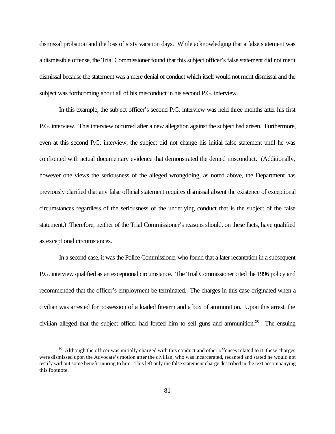dismissal probation and the loss of sixty vacation days. While acknowledging that a false statement was a dismissible offense, the Trial Commissioner found that this subject officer's false statement did not merit dismissal because the statement was a mere denial of conduct which itself would not merit dismissal and the subject was forthcoming about all of his misconduct in his second P.G. interview.

In this example, the subject officer's second P.G. interview was held three months after his first P.G. interview. This interview occurred after a new allegation against the subject had arisen. Furthermore, even at this second P.G. interview, the subject did not change his initial false statement until he was confronted with actual documentary evidence that demonstrated the denied misconduct. (Additionally, however one views the seriousness of the alleged wrongdoing, as noted above, the Department has previously clarified that any false official statement requires dismissal absent the existence of exceptional circumstances regardless of the seriousness of the underlying conduct that is the subject of the false statement.) Therefore, neither of the Trial Commissioner's reasons should, on these facts, have qualified as exceptional circumstances.

In a second case, it was the Police Commissioner who found that a later recantation in a subsequent P.G. interview qualified as an exceptional circumstance. The Trial Commissioner cited the 1996 policy and recommended that the officer's employment be terminated. The charges in this case originated when a civilian was arrested for possession of a loaded firearm and a box of ammunition. Upon this arrest, the civilian alleged that the subject officer had forced him to sell guns and ammunition.<sup>90</sup> The ensuing

<sup>&</sup>lt;sup>90</sup> Although the officer was initially charged with this conduct and other offenses related to it, these charges were dismissed upon the Advocate's motion after the civilian, who was incarcerated, recanted and stated he would not testify without some benefit inuring to him. This left only the false statement charge described in the text accompanying this footnote.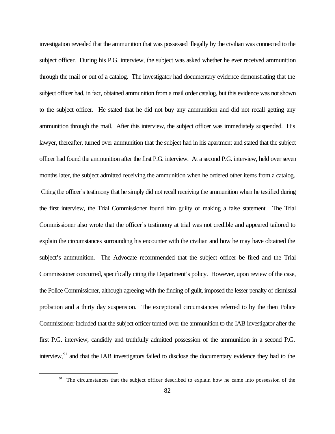investigation revealed that the ammunition that was possessed illegally by the civilian was connected to the subject officer. During his P.G. interview, the subject was asked whether he ever received ammunition through the mail or out of a catalog. The investigator had documentary evidence demonstrating that the subject officer had, in fact, obtained ammunition from a mail order catalog, but this evidence was not shown to the subject officer. He stated that he did not buy any ammunition and did not recall getting any ammunition through the mail. After this interview, the subject officer was immediately suspended. His lawyer, thereafter, turned over ammunition that the subject had in his apartment and stated that the subject officer had found the ammunition after the first P.G. interview. At a second P.G. interview, held over seven months later, the subject admitted receiving the ammunition when he ordered other items from a catalog. Citing the officer's testimony that he simply did not recall receiving the ammunition when he testified during the first interview, the Trial Commissioner found him guilty of making a false statement. The Trial Commissioner also wrote that the officer's testimony at trial was not credible and appeared tailored to explain the circumstances surrounding his encounter with the civilian and how he may have obtained the subject's ammunition. The Advocate recommended that the subject officer be fired and the Trial Commissioner concurred, specifically citing the Department's policy. However, upon review of the case, the Police Commissioner, although agreeing with the finding of guilt, imposed the lesser penalty of dismissal probation and a thirty day suspension. The exceptional circumstances referred to by the then Police Commissioner included that the subject officer turned over the ammunition to the IAB investigator after the first P.G. interview, candidly and truthfully admitted possession of the ammunition in a second P.G. interview, $^{91}$  and that the IAB investigators failed to disclose the documentary evidence they had to the

<sup>&</sup>lt;sup>91</sup> The circumstances that the subject officer described to explain how he came into possession of the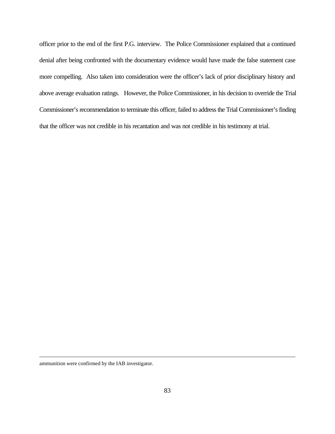officer prior to the end of the first P.G. interview. The Police Commissioner explained that a continued denial after being confronted with the documentary evidence would have made the false statement case more compelling. Also taken into consideration were the officer's lack of prior disciplinary history and above average evaluation ratings. However, the Police Commissioner, in his decision to override the Trial Commissioner's recommendation to terminate this officer, failed to address the Trial Commissioner's finding that the officer was not credible in his recantation and was not credible in his testimony at trial.

ammunition were confirmed by the IAB investigator.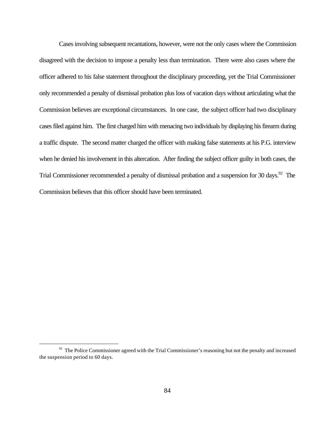Cases involving subsequent recantations, however, were not the only cases where the Commission disagreed with the decision to impose a penalty less than termination. There were also cases where the officer adhered to his false statement throughout the disciplinary proceeding, yet the Trial Commissioner only recommended a penalty of dismissal probation plus loss of vacation days without articulating what the Commission believes are exceptional circumstances. In one case, the subject officer had two disciplinary cases filed against him. The first charged him with menacing two individuals by displaying his firearm during a traffic dispute. The second matter charged the officer with making false statements at his P.G. interview when he denied his involvement in this altercation. After finding the subject officer guilty in both cases, the Trial Commissioner recommended a penalty of dismissal probation and a suspension for 30 days.<sup>92</sup> The Commission believes that this officer should have been terminated.

<sup>&</sup>lt;sup>92</sup> The Police Commissioner agreed with the Trial Commissioner's reasoning but not the penalty and increased the suspension period to 60 days.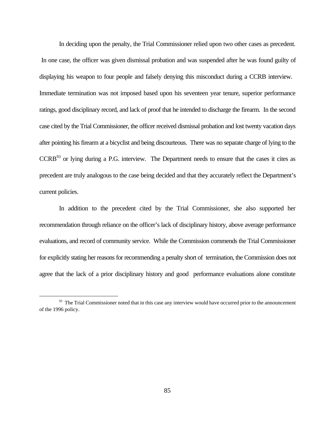In deciding upon the penalty, the Trial Commissioner relied upon two other cases as precedent. In one case, the officer was given dismissal probation and was suspended after he was found guilty of displaying his weapon to four people and falsely denying this misconduct during a CCRB interview. Immediate termination was not imposed based upon his seventeen year tenure, superior performance ratings, good disciplinary record, and lack of proof that he intended to discharge the firearm. In the second case cited by the Trial Commissioner, the officer received dismissal probation and lost twenty vacation days after pointing his firearm at a bicyclist and being discourteous. There was no separate charge of lying to the  $CCRB<sup>93</sup>$  or lying during a P.G. interview. The Department needs to ensure that the cases it cites as precedent are truly analogous to the case being decided and that they accurately reflect the Department's current policies.

In addition to the precedent cited by the Trial Commissioner, she also supported her recommendation through reliance on the officer's lack of disciplinary history, above average performance evaluations, and record of community service. While the Commission commends the Trial Commissioner for explicitly stating her reasons for recommending a penalty short of termination, the Commission does not agree that the lack of a prior disciplinary history and good performance evaluations alone constitute

<sup>&</sup>lt;sup>93</sup> The Trial Commissioner noted that in this case any interview would have occurred prior to the announcement of the 1996 policy.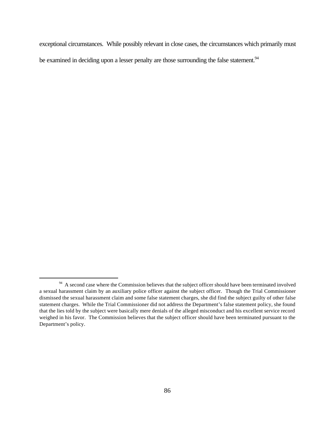exceptional circumstances. While possibly relevant in close cases, the circumstances which primarily must be examined in deciding upon a lesser penalty are those surrounding the false statement.<sup>94</sup>

<sup>&</sup>lt;sup>94</sup> A second case where the Commission believes that the subject officer should have been terminated involved a sexual harassment claim by an auxiliary police officer against the subject officer. Though the Trial Commissioner dismissed the sexual harassment claim and some false statement charges, she did find the subject guilty of other false statement charges. While the Trial Commissioner did not address the Department's false statement policy, she found that the lies told by the subject were basically mere denials of the alleged misconduct and his excellent service record weighed in his favor. The Commission believes that the subject officer should have been terminated pursuant to the Department's policy.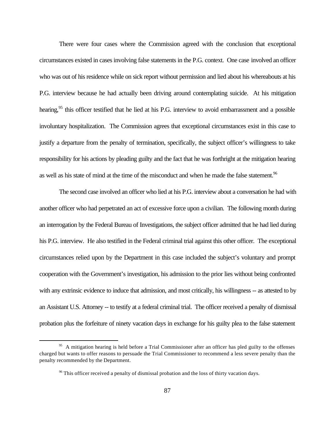There were four cases where the Commission agreed with the conclusion that exceptional circumstances existed in cases involving false statements in the P.G. context. One case involved an officer who was out of his residence while on sick report without permission and lied about his whereabouts at his P.G. interview because he had actually been driving around contemplating suicide. At his mitigation hearing,<sup>95</sup> this officer testified that he lied at his P.G. interview to avoid embarrassment and a possible involuntary hospitalization. The Commission agrees that exceptional circumstances exist in this case to justify a departure from the penalty of termination, specifically, the subject officer's willingness to take responsibility for his actions by pleading guilty and the fact that he was forthright at the mitigation hearing as well as his state of mind at the time of the misconduct and when he made the false statement.<sup>96</sup>

The second case involved an officer who lied at his P.G. interview about a conversation he had with another officer who had perpetrated an act of excessive force upon a civilian. The following month during an interrogation by the Federal Bureau of Investigations, the subject officer admitted that he had lied during his P.G. interview. He also testified in the Federal criminal trial against this other officer. The exceptional circumstances relied upon by the Department in this case included the subject's voluntary and prompt cooperation with the Government's investigation, his admission to the prior lies without being confronted with any extrinsic evidence to induce that admission, and most critically, his willingness -- as attested to by an Assistant U.S. Attorney -- to testify at a federal criminal trial. The officer received a penalty of dismissal probation plus the forfeiture of ninety vacation days in exchange for his guilty plea to the false statement

<sup>&</sup>lt;sup>95</sup> A mitigation hearing is held before a Trial Commissioner after an officer has pled guilty to the offenses charged but wants to offer reasons to persuade the Trial Commissioner to recommend a less severe penalty than the penalty recommended by the Department.

 $96$  This officer received a penalty of dismissal probation and the loss of thirty vacation days.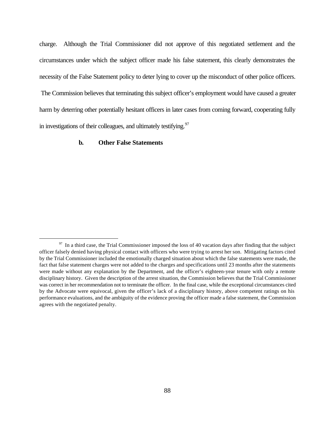charge. Although the Trial Commissioner did not approve of this negotiated settlement and the circumstances under which the subject officer made his false statement, this clearly demonstrates the necessity of the False Statement policy to deter lying to cover up the misconduct of other police officers.

 The Commission believes that terminating this subject officer's employment would have caused a greater harm by deterring other potentially hesitant officers in later cases from coming forward, cooperating fully in investigations of their colleagues, and ultimately testifying.<sup>97</sup>

# **b. Other False Statements**

 $\frac{97}{97}$  In a third case, the Trial Commissioner imposed the loss of 40 vacation days after finding that the subject officer falsely denied having physical contact with officers who were trying to arrest her son. Mitigating factors cited by the Trial Commissioner included the emotionally charged situation about which the false statements were made, the fact that false statement charges were not added to the charges and specifications until 23 months after the statements were made without any explanation by the Department, and the officer's eighteen-year tenure with only a remote disciplinary history. Given the description of the arrest situation, the Commission believes that the Trial Commissioner was correct in her recommendation not to terminate the officer. In the final case, while the exceptional circumstances cited by the Advocate were equivocal, given the officer's lack of a disciplinary history, above competent ratings on his performance evaluations, and the ambiguity of the evidence proving the officer made a false statement, the Commission agrees with the negotiated penalty.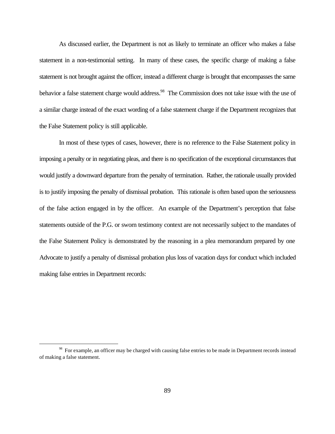As discussed earlier, the Department is not as likely to terminate an officer who makes a false statement in a non-testimonial setting. In many of these cases, the specific charge of making a false statement is not brought against the officer, instead a different charge is brought that encompasses the same behavior a false statement charge would address.<sup>98</sup> The Commission does not take issue with the use of a similar charge instead of the exact wording of a false statement charge if the Department recognizes that the False Statement policy is still applicable.

In most of these types of cases, however, there is no reference to the False Statement policy in imposing a penalty or in negotiating pleas, and there is no specification of the exceptional circumstances that would justify a downward departure from the penalty of termination. Rather, the rationale usually provided is to justify imposing the penalty of dismissal probation. This rationale is often based upon the seriousness of the false action engaged in by the officer. An example of the Department's perception that false statements outside of the P.G. or sworn testimony context are not necessarily subject to the mandates of the False Statement Policy is demonstrated by the reasoning in a plea memorandum prepared by one Advocate to justify a penalty of dismissal probation plus loss of vacation days for conduct which included making false entries in Department records:

<sup>&</sup>lt;sup>98</sup> For example, an officer may be charged with causing false entries to be made in Department records instead of making a false statement.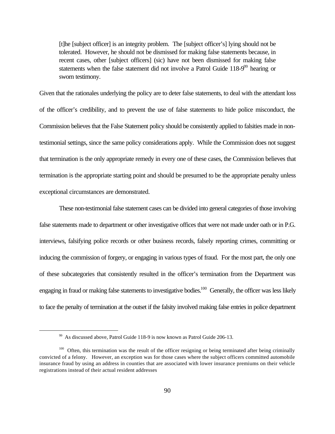[t]he [subject officer] is an integrity problem. The [subject officer's] lying should not be tolerated. However, he should not be dismissed for making false statements because, in recent cases, other [subject officers] (sic) have not been dismissed for making false statements when the false statement did not involve a Patrol Guide  $118-9^{99}$  hearing or sworn testimony.

Given that the rationales underlying the policy are to deter false statements, to deal with the attendant loss of the officer's credibility, and to prevent the use of false statements to hide police misconduct, the Commission believes that the False Statement policy should be consistently applied to falsities made in nontestimonial settings, since the same policy considerations apply. While the Commission does not suggest that termination is the only appropriate remedy in every one of these cases, the Commission believes that termination is the appropriate starting point and should be presumed to be the appropriate penalty unless exceptional circumstances are demonstrated.

These non-testimonial false statement cases can be divided into general categories of those involving false statements made to department or other investigative offices that were not made under oath or in P.G. interviews, falsifying police records or other business records, falsely reporting crimes, committing or inducing the commission of forgery, or engaging in various types of fraud. For the most part, the only one of these subcategories that consistently resulted in the officer's termination from the Department was engaging in fraud or making false statements to investigative bodies.<sup>100</sup> Generally, the officer was less likely to face the penalty of termination at the outset if the falsity involved making false entries in police department

<sup>&</sup>lt;sup>99</sup> As discussed above, Patrol Guide 118-9 is now known as Patrol Guide 206-13.

 $100$  Often, this termination was the result of the officer resigning or being terminated after being criminally convicted of a felony. However, an exception was for those cases where the subject officers committed automobile insurance fraud by using an address in counties that are associated with lower insurance premiums on their vehicle registrations instead of their actual resident addresses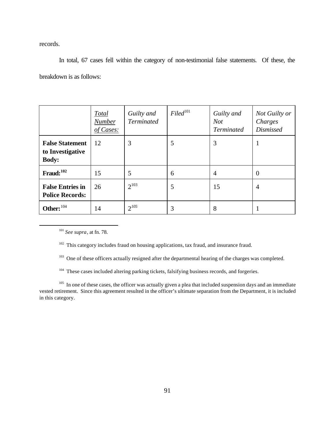records.

In total, 67 cases fell within the category of non-testimonial false statements. Of these, the breakdown is as follows:

|                                                            | <b>Total</b><br><b>Number</b><br>of Cases: | Guilty and<br><b>Terminated</b> | $Filed$ <sup>101</sup> | Guilty and<br><b>Not</b><br><b>Terminated</b> | <b>Not Guilty or</b><br>Charges<br><b>Dismissed</b> |
|------------------------------------------------------------|--------------------------------------------|---------------------------------|------------------------|-----------------------------------------------|-----------------------------------------------------|
| <b>False Statement</b><br>to Investigative<br><b>Body:</b> | 12                                         | 3                               | 5                      | 3                                             |                                                     |
| Fraud: $102$                                               | 15                                         | 5                               | 6                      | 4                                             | $\theta$                                            |
| <b>False Entries in</b><br><b>Police Records:</b>          | 26                                         | $2^{103}$                       | 5                      | 15                                            | $\overline{4}$                                      |
| Other: $^{104}$                                            | 14                                         | $2^{105}$                       | 3                      | 8                                             |                                                     |

<sup>101</sup> *See supra*, at fn. 78.

 $\overline{a}$ 

<sup>102</sup> This category includes fraud on housing applications, tax fraud, and insurance fraud.

<sup>103</sup> One of these officers actually resigned after the departmental hearing of the charges was completed.

<sup>104</sup> These cases included altering parking tickets, falsifying business records, and forgeries.

<sup>105</sup> In one of these cases, the officer was actually given a plea that included suspension days and an immediate vested retirement. Since this agreement resulted in the officer's ultimate separation from the Department, it is included in this category.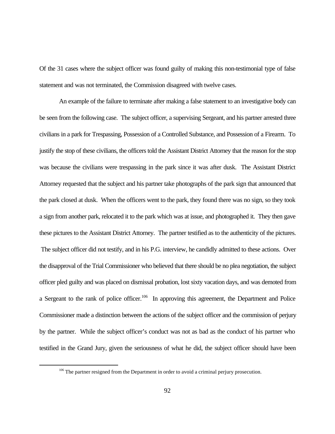Of the 31 cases where the subject officer was found guilty of making this non-testimonial type of false statement and was not terminated, the Commission disagreed with twelve cases.

An example of the failure to terminate after making a false statement to an investigative body can be seen from the following case. The subject officer, a supervising Sergeant, and his partner arrested three civilians in a park for Trespassing, Possession of a Controlled Substance, and Possession of a Firearm. To justify the stop of these civilians, the officers told the Assistant District Attorney that the reason for the stop was because the civilians were trespassing in the park since it was after dusk. The Assistant District Attorney requested that the subject and his partner take photographs of the park sign that announced that the park closed at dusk. When the officers went to the park, they found there was no sign, so they took a sign from another park, relocated it to the park which was at issue, and photographed it. They then gave these pictures to the Assistant District Attorney. The partner testified as to the authenticity of the pictures. The subject officer did not testify, and in his P.G. interview, he candidly admitted to these actions. Over the disapproval of the Trial Commissioner who believed that there should be no plea negotiation, the subject officer pled guilty and was placed on dismissal probation, lost sixty vacation days, and was demoted from a Sergeant to the rank of police officer.<sup>106</sup> In approving this agreement, the Department and Police Commissioner made a distinction between the actions of the subject officer and the commission of perjury by the partner. While the subject officer's conduct was not as bad as the conduct of his partner who testified in the Grand Jury, given the seriousness of what he did, the subject officer should have been

<sup>&</sup>lt;sup>106</sup> The partner resigned from the Department in order to avoid a criminal perjury prosecution.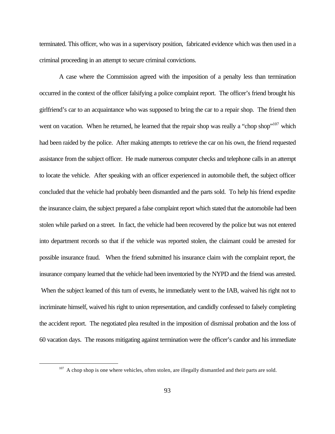terminated. This officer, who was in a supervisory position, fabricated evidence which was then used in a criminal proceeding in an attempt to secure criminal convictions.

A case where the Commission agreed with the imposition of a penalty less than termination occurred in the context of the officer falsifying a police complaint report. The officer's friend brought his girlfriend's car to an acquaintance who was supposed to bring the car to a repair shop. The friend then went on vacation. When he returned, he learned that the repair shop was really a "chop shop"<sup>107</sup> which had been raided by the police. After making attempts to retrieve the car on his own, the friend requested assistance from the subject officer. He made numerous computer checks and telephone calls in an attempt to locate the vehicle. After speaking with an officer experienced in automobile theft, the subject officer concluded that the vehicle had probably been dismantled and the parts sold. To help his friend expedite the insurance claim, the subject prepared a false complaint report which stated that the automobile had been stolen while parked on a street. In fact, the vehicle had been recovered by the police but was not entered into department records so that if the vehicle was reported stolen, the claimant could be arrested for possible insurance fraud. When the friend submitted his insurance claim with the complaint report, the insurance company learned that the vehicle had been inventoried by the NYPD and the friend was arrested. When the subject learned of this turn of events, he immediately went to the IAB, waived his right not to incriminate himself, waived his right to union representation, and candidly confessed to falsely completing the accident report. The negotiated plea resulted in the imposition of dismissal probation and the loss of 60 vacation days. The reasons mitigating against termination were the officer's candor and his immediate

 $107$  A chop shop is one where vehicles, often stolen, are illegally dismantled and their parts are sold.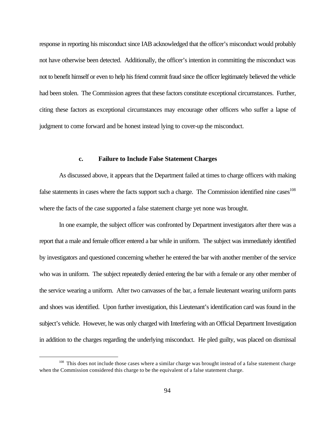response in reporting his misconduct since IAB acknowledged that the officer's misconduct would probably not have otherwise been detected. Additionally, the officer's intention in committing the misconduct was not to benefit himself or even to help his friend commit fraud since the officer legitimately believed the vehicle had been stolen. The Commission agrees that these factors constitute exceptional circumstances. Further, citing these factors as exceptional circumstances may encourage other officers who suffer a lapse of judgment to come forward and be honest instead lying to cover-up the misconduct.

#### **c. Failure to Include False Statement Charges**

As discussed above, it appears that the Department failed at times to charge officers with making false statements in cases where the facts support such a charge. The Commission identified nine cases<sup>108</sup> where the facts of the case supported a false statement charge yet none was brought.

In one example, the subject officer was confronted by Department investigators after there was a report that a male and female officer entered a bar while in uniform. The subject was immediately identified by investigators and questioned concerning whether he entered the bar with another member of the service who was in uniform. The subject repeatedly denied entering the bar with a female or any other member of the service wearing a uniform. After two canvasses of the bar, a female lieutenant wearing uniform pants and shoes was identified. Upon further investigation, this Lieutenant's identification card was found in the subject's vehicle. However, he was only charged with Interfering with an Official Department Investigation in addition to the charges regarding the underlying misconduct. He pled guilty, was placed on dismissal

<sup>&</sup>lt;sup>108</sup> This does not include those cases where a similar charge was brought instead of a false statement charge when the Commission considered this charge to be the equivalent of a false statement charge.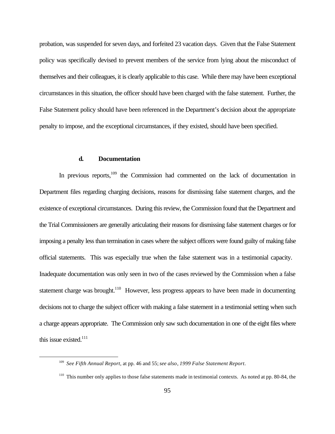probation, was suspended for seven days, and forfeited 23 vacation days. Given that the False Statement policy was specifically devised to prevent members of the service from lying about the misconduct of themselves and their colleagues, it is clearly applicable to this case. While there may have been exceptional circumstances in this situation, the officer should have been charged with the false statement. Further, the False Statement policy should have been referenced in the Department's decision about the appropriate penalty to impose, and the exceptional circumstances, if they existed, should have been specified.

#### **d. Documentation**

 $\overline{a}$ 

In previous reports, $109$  the Commission had commented on the lack of documentation in Department files regarding charging decisions, reasons for dismissing false statement charges, and the existence of exceptional circumstances. During this review, the Commission found that the Department and the Trial Commissioners are generally articulating their reasons for dismissing false statement charges or for imposing a penalty less than termination in cases where the subject officers were found guilty of making false official statements. This was especially true when the false statement was in a testimonial capacity. Inadequate documentation was only seen in two of the cases reviewed by the Commission when a false statement charge was brought.<sup>110</sup> However, less progress appears to have been made in documenting decisions not to charge the subject officer with making a false statement in a testimonial setting when such a charge appears appropriate. The Commission only saw such documentation in one of the eight files where this issue existed.<sup>111</sup>

<sup>109</sup> *See Fifth Annual Report*, at pp. 46 and 55; *see also*, *1999 False Statement Report*.

 $110$  This number only applies to those false statements made in testimonial contexts. As noted at pp. 80-84, the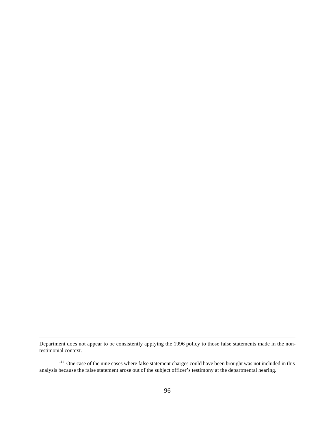Department does not appear to be consistently applying the 1996 policy to those false statements made in the nontestimonial context.

<sup>&</sup>lt;sup>111</sup> One case of the nine cases where false statement charges could have been brought was not included in this analysis because the false statement arose out of the subject officer's testimony at the departmental hearing.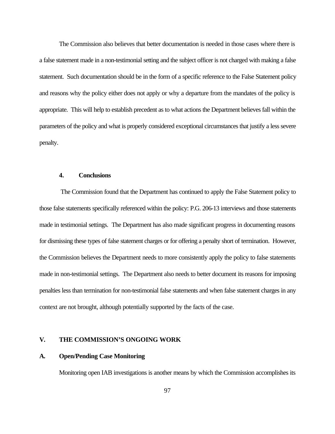The Commission also believes that better documentation is needed in those cases where there is a false statement made in a non-testimonial setting and the subject officer is not charged with making a false statement. Such documentation should be in the form of a specific reference to the False Statement policy and reasons why the policy either does not apply or why a departure from the mandates of the policy is appropriate. This will help to establish precedent as to what actions the Department believes fall within the parameters of the policy and what is properly considered exceptional circumstances that justify a less severe penalty.

### **4. Conclusions**

 The Commission found that the Department has continued to apply the False Statement policy to those false statements specifically referenced within the policy: P.G. 206-13 interviews and those statements made in testimonial settings. The Department has also made significant progress in documenting reasons for dismissing these types of false statement charges or for offering a penalty short of termination. However, the Commission believes the Department needs to more consistently apply the policy to false statements made in non-testimonial settings. The Department also needs to better document its reasons for imposing penalties less than termination for non-testimonial false statements and when false statement charges in any context are not brought, although potentially supported by the facts of the case.

# **V. THE COMMISSION'S ONGOING WORK**

### **A. Open/Pending Case Monitoring**

Monitoring open IAB investigations is another means by which the Commission accomplishes its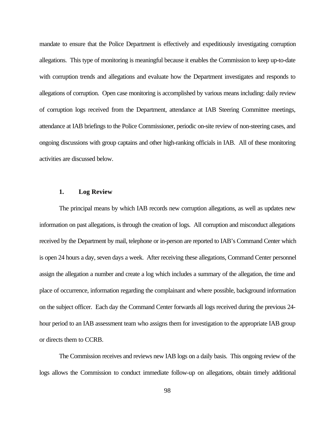mandate to ensure that the Police Department is effectively and expeditiously investigating corruption allegations. This type of monitoring is meaningful because it enables the Commission to keep up-to-date with corruption trends and allegations and evaluate how the Department investigates and responds to allegations of corruption. Open case monitoring is accomplished by various means including: daily review of corruption logs received from the Department, attendance at IAB Steering Committee meetings, attendance at IAB briefings to the Police Commissioner, periodic on-site review of non-steering cases, and ongoing discussions with group captains and other high-ranking officials in IAB. All of these monitoring activities are discussed below.

### **1. Log Review**

The principal means by which IAB records new corruption allegations, as well as updates new information on past allegations, is through the creation of logs. All corruption and misconduct allegations received by the Department by mail, telephone or in-person are reported to IAB's Command Center which is open 24 hours a day, seven days a week. After receiving these allegations, Command Center personnel assign the allegation a number and create a log which includes a summary of the allegation, the time and place of occurrence, information regarding the complainant and where possible, background information on the subject officer. Each day the Command Center forwards all logs received during the previous 24 hour period to an IAB assessment team who assigns them for investigation to the appropriate IAB group or directs them to CCRB.

The Commission receives and reviews new IAB logs on a daily basis. This ongoing review of the logs allows the Commission to conduct immediate follow-up on allegations, obtain timely additional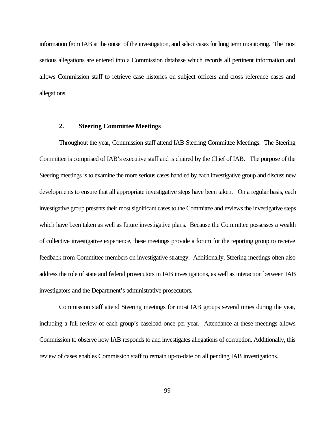information from IAB at the outset of the investigation, and select cases for long term monitoring. The most serious allegations are entered into a Commission database which records all pertinent information and allows Commission staff to retrieve case histories on subject officers and cross reference cases and allegations.

#### **2. Steering Committee Meetings**

Throughout the year, Commission staff attend IAB Steering Committee Meetings. The Steering Committee is comprised of IAB's executive staff and is chaired by the Chief of IAB. The purpose of the Steering meetings is to examine the more serious cases handled by each investigative group and discuss new developments to ensure that all appropriate investigative steps have been taken. On a regular basis, each investigative group presents their most significant cases to the Committee and reviews the investigative steps which have been taken as well as future investigative plans. Because the Committee possesses a wealth of collective investigative experience, these meetings provide a forum for the reporting group to receive feedback from Committee members on investigative strategy. Additionally, Steering meetings often also address the role of state and federal prosecutors in IAB investigations, as well as interaction between IAB investigators and the Department's administrative prosecutors.

Commission staff attend Steering meetings for most IAB groups several times during the year, including a full review of each group's caseload once per year. Attendance at these meetings allows Commission to observe how IAB responds to and investigates allegations of corruption. Additionally, this review of cases enables Commission staff to remain up-to-date on all pending IAB investigations.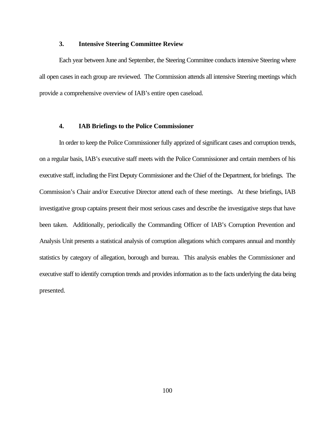#### **3. Intensive Steering Committee Review**

Each year between June and September, the Steering Committee conducts intensive Steering where all open cases in each group are reviewed. The Commission attends all intensive Steering meetings which provide a comprehensive overview of IAB's entire open caseload.

### **4. IAB Briefings to the Police Commissioner**

In order to keep the Police Commissioner fully apprized of significant cases and corruption trends, on a regular basis, IAB's executive staff meets with the Police Commissioner and certain members of his executive staff, including the First Deputy Commissioner and the Chief of the Department, for briefings. The Commission's Chair and/or Executive Director attend each of these meetings. At these briefings, IAB investigative group captains present their most serious cases and describe the investigative steps that have been taken. Additionally, periodically the Commanding Officer of IAB's Corruption Prevention and Analysis Unit presents a statistical analysis of corruption allegations which compares annual and monthly statistics by category of allegation, borough and bureau. This analysis enables the Commissioner and executive staff to identify corruption trends and provides information as to the facts underlying the data being presented.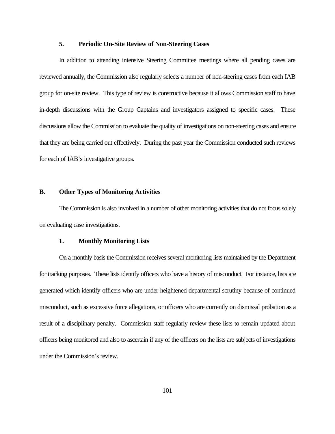#### **5. Periodic On-Site Review of Non-Steering Cases**

In addition to attending intensive Steering Committee meetings where all pending cases are reviewed annually, the Commission also regularly selects a number of non-steering cases from each IAB group for on-site review. This type of review is constructive because it allows Commission staff to have in-depth discussions with the Group Captains and investigators assigned to specific cases. These discussions allow the Commission to evaluate the quality of investigations on non-steering cases and ensure that they are being carried out effectively. During the past year the Commission conducted such reviews for each of IAB's investigative groups.

#### **B. Other Types of Monitoring Activities**

The Commission is also involved in a number of other monitoring activities that do not focus solely on evaluating case investigations.

#### **1. Monthly Monitoring Lists**

On a monthly basis the Commission receives several monitoring lists maintained by the Department for tracking purposes. These lists identify officers who have a history of misconduct. For instance, lists are generated which identify officers who are under heightened departmental scrutiny because of continued misconduct, such as excessive force allegations, or officers who are currently on dismissal probation as a result of a disciplinary penalty. Commission staff regularly review these lists to remain updated about officers being monitored and also to ascertain if any of the officers on the lists are subjects of investigations under the Commission's review.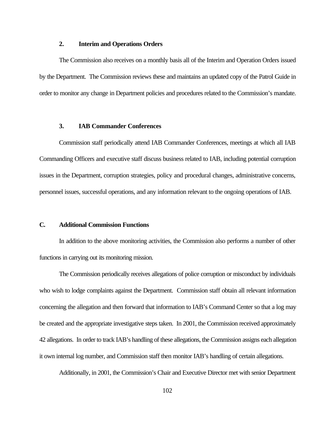#### **2. Interim and Operations Orders**

The Commission also receives on a monthly basis all of the Interim and Operation Orders issued by the Department. The Commission reviews these and maintains an updated copy of the Patrol Guide in order to monitor any change in Department policies and procedures related to the Commission's mandate.

### **3. IAB Commander Conferences**

Commission staff periodically attend IAB Commander Conferences, meetings at which all IAB Commanding Officers and executive staff discuss business related to IAB, including potential corruption issues in the Department, corruption strategies, policy and procedural changes, administrative concerns, personnel issues, successful operations, and any information relevant to the ongoing operations of IAB.

# **C. Additional Commission Functions**

In addition to the above monitoring activities, the Commission also performs a number of other functions in carrying out its monitoring mission.

The Commission periodically receives allegations of police corruption or misconduct by individuals who wish to lodge complaints against the Department. Commission staff obtain all relevant information concerning the allegation and then forward that information to IAB's Command Center so that a log may be created and the appropriate investigative steps taken. In 2001, the Commission received approximately 42 allegations. In order to track IAB's handling of these allegations, the Commission assigns each allegation it own internal log number, and Commission staff then monitor IAB's handling of certain allegations.

Additionally, in 2001, the Commission's Chair and Executive Director met with senior Department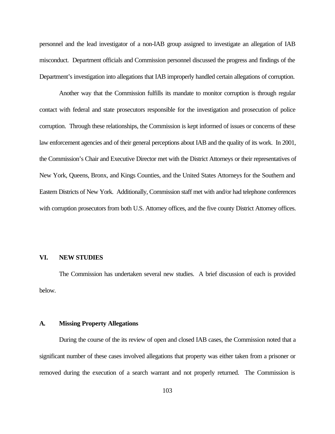personnel and the lead investigator of a non-IAB group assigned to investigate an allegation of IAB misconduct. Department officials and Commission personnel discussed the progress and findings of the Department's investigation into allegations that IAB improperly handled certain allegations of corruption.

Another way that the Commission fulfills its mandate to monitor corruption is through regular contact with federal and state prosecutors responsible for the investigation and prosecution of police corruption. Through these relationships, the Commission is kept informed of issues or concerns of these law enforcement agencies and of their general perceptions about IAB and the quality of its work. In 2001, the Commission's Chair and Executive Director met with the District Attorneys or their representatives of New York, Queens, Bronx, and Kings Counties, and the United States Attorneys for the Southern and Eastern Districts of New York. Additionally, Commission staff met with and/or had telephone conferences with corruption prosecutors from both U.S. Attorney offices, and the five county District Attorney offices.

# **VI. NEW STUDIES**

The Commission has undertaken several new studies. A brief discussion of each is provided below.

### **A. Missing Property Allegations**

During the course of the its review of open and closed IAB cases, the Commission noted that a significant number of these cases involved allegations that property was either taken from a prisoner or removed during the execution of a search warrant and not properly returned. The Commission is